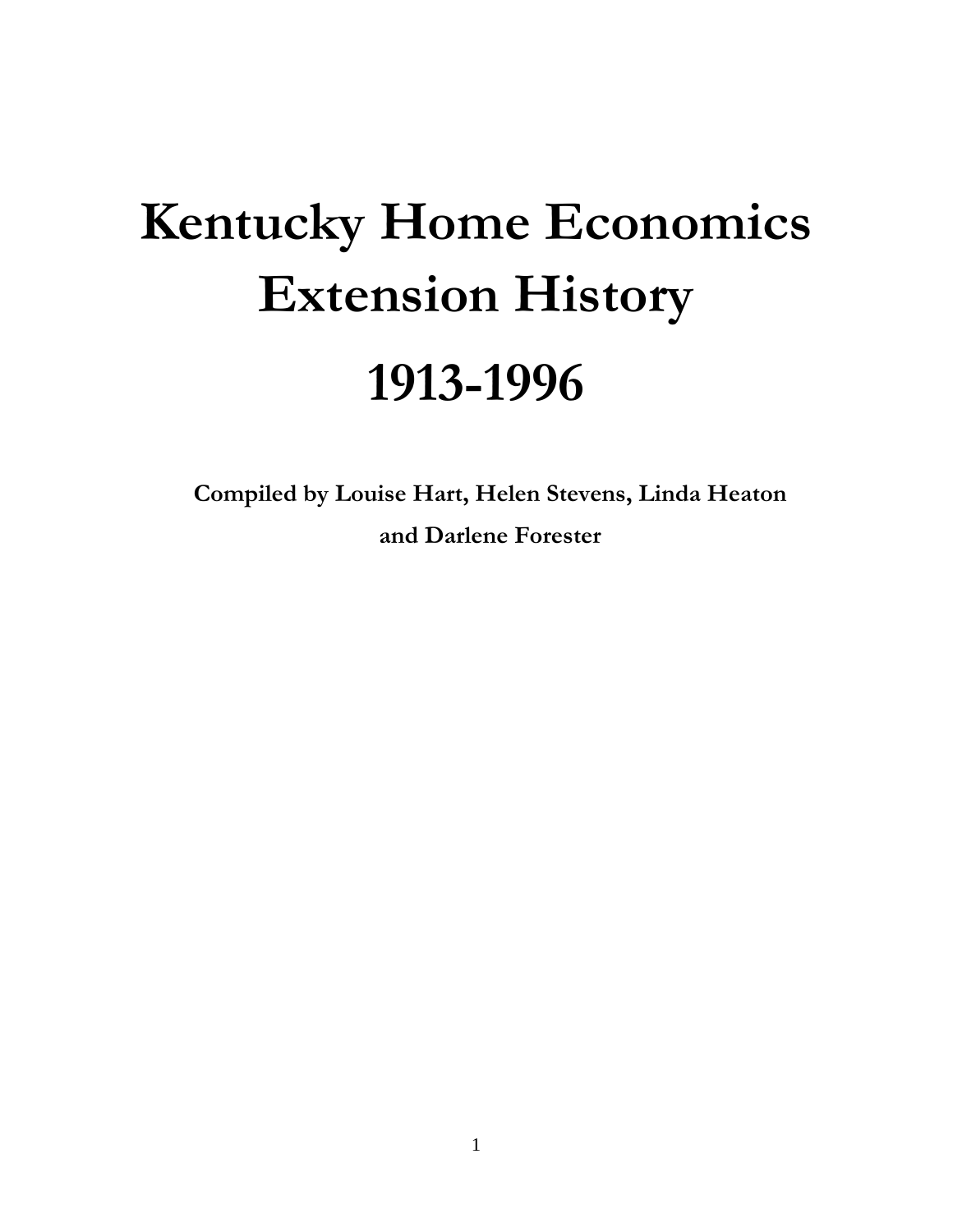# **Kentucky Home Economics Extension History 1913-1996**

**Compiled by Louise Hart, Helen Stevens, Linda Heaton and Darlene Forester**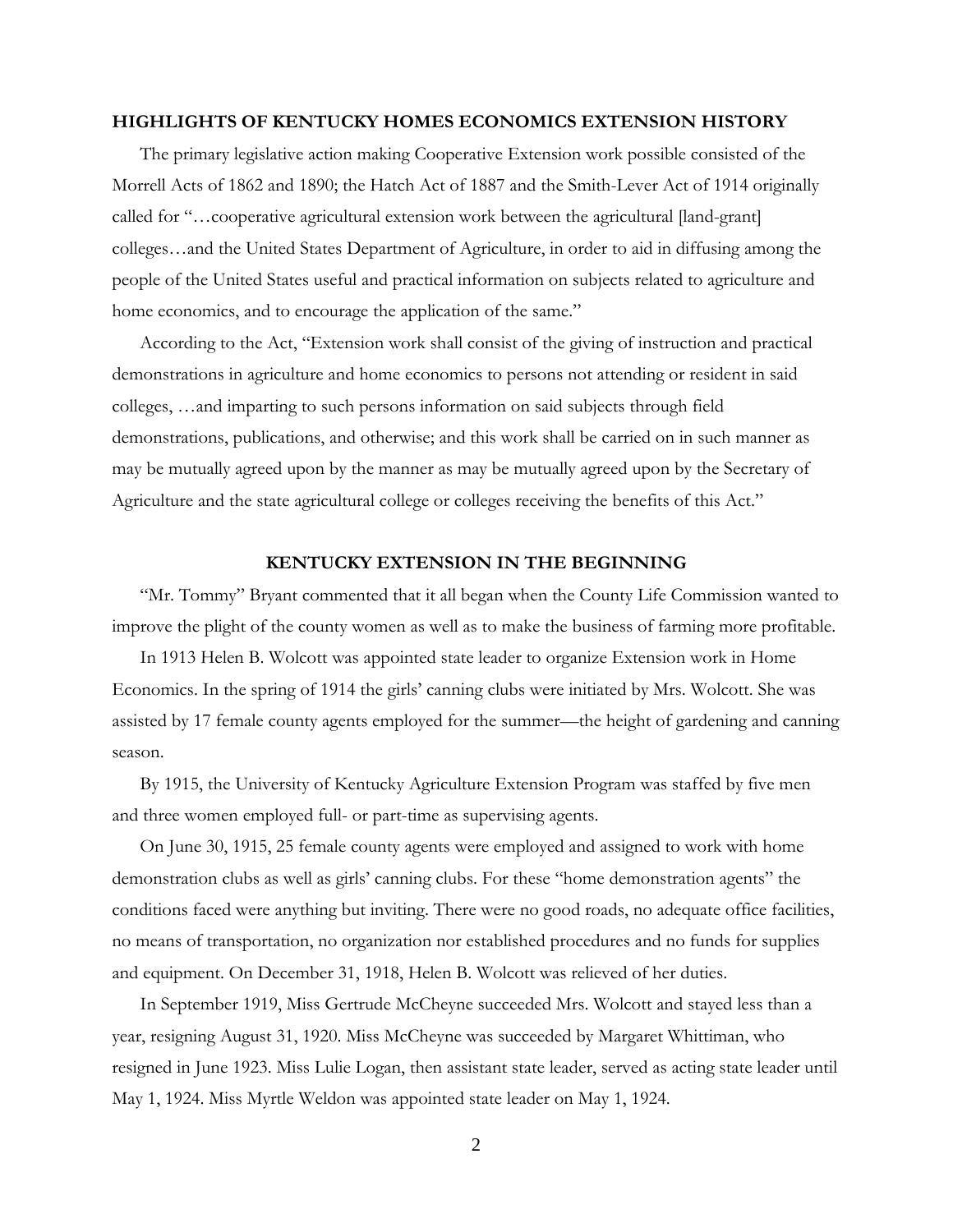#### **HIGHLIGHTS OF KENTUCKY HOMES ECONOMICS EXTENSION HISTORY**

The primary legislative action making Cooperative Extension work possible consisted of the Morrell Acts of 1862 and 1890; the Hatch Act of 1887 and the Smith-Lever Act of 1914 originally called for "…cooperative agricultural extension work between the agricultural [land-grant] colleges…and the United States Department of Agriculture, in order to aid in diffusing among the people of the United States useful and practical information on subjects related to agriculture and home economics, and to encourage the application of the same."

 According to the Act, "Extension work shall consist of the giving of instruction and practical demonstrations in agriculture and home economics to persons not attending or resident in said colleges, …and imparting to such persons information on said subjects through field demonstrations, publications, and otherwise; and this work shall be carried on in such manner as may be mutually agreed upon by the manner as may be mutually agreed upon by the Secretary of Agriculture and the state agricultural college or colleges receiving the benefits of this Act."

# **KENTUCKY EXTENSION IN THE BEGINNING**

"Mr. Tommy" Bryant commented that it all began when the County Life Commission wanted to improve the plight of the county women as well as to make the business of farming more profitable.

 In 1913 Helen B. Wolcott was appointed state leader to organize Extension work in Home Economics. In the spring of 1914 the girls' canning clubs were initiated by Mrs. Wolcott. She was assisted by 17 female county agents employed for the summer—the height of gardening and canning season.

 By 1915, the University of Kentucky Agriculture Extension Program was staffed by five men and three women employed full- or part-time as supervising agents.

 On June 30, 1915, 25 female county agents were employed and assigned to work with home demonstration clubs as well as girls' canning clubs. For these "home demonstration agents" the conditions faced were anything but inviting. There were no good roads, no adequate office facilities, no means of transportation, no organization nor established procedures and no funds for supplies and equipment. On December 31, 1918, Helen B. Wolcott was relieved of her duties.

 In September 1919, Miss Gertrude McCheyne succeeded Mrs. Wolcott and stayed less than a year, resigning August 31, 1920. Miss McCheyne was succeeded by Margaret Whittiman, who resigned in June 1923. Miss Lulie Logan, then assistant state leader, served as acting state leader until May 1, 1924. Miss Myrtle Weldon was appointed state leader on May 1, 1924.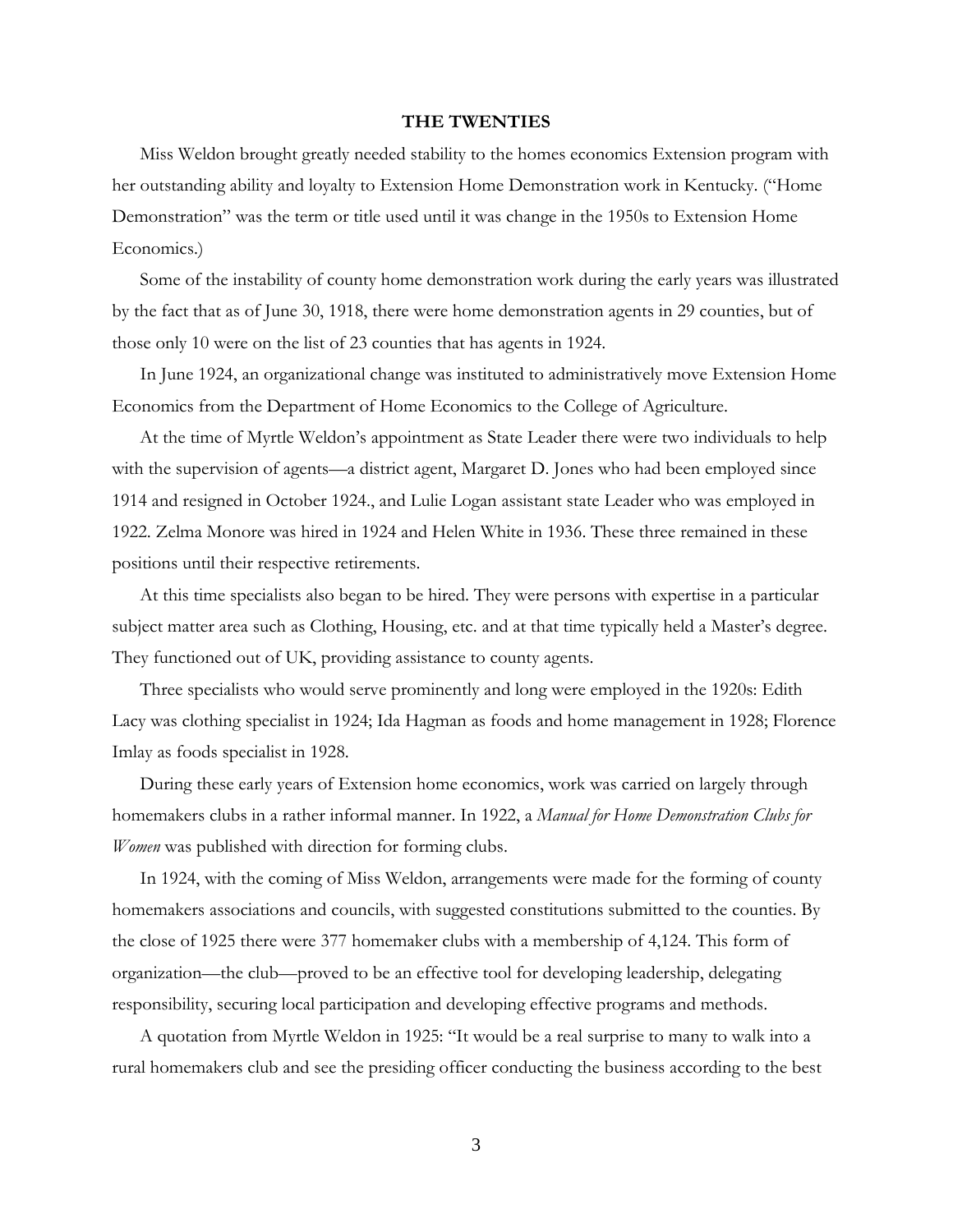#### **THE TWENTIES**

Miss Weldon brought greatly needed stability to the homes economics Extension program with her outstanding ability and loyalty to Extension Home Demonstration work in Kentucky. ("Home Demonstration" was the term or title used until it was change in the 1950s to Extension Home Economics.)

 Some of the instability of county home demonstration work during the early years was illustrated by the fact that as of June 30, 1918, there were home demonstration agents in 29 counties, but of those only 10 were on the list of 23 counties that has agents in 1924.

 In June 1924, an organizational change was instituted to administratively move Extension Home Economics from the Department of Home Economics to the College of Agriculture.

 At the time of Myrtle Weldon's appointment as State Leader there were two individuals to help with the supervision of agents—a district agent, Margaret D. Jones who had been employed since 1914 and resigned in October 1924., and Lulie Logan assistant state Leader who was employed in 1922. Zelma Monore was hired in 1924 and Helen White in 1936. These three remained in these positions until their respective retirements.

 At this time specialists also began to be hired. They were persons with expertise in a particular subject matter area such as Clothing, Housing, etc. and at that time typically held a Master's degree. They functioned out of UK, providing assistance to county agents.

 Three specialists who would serve prominently and long were employed in the 1920s: Edith Lacy was clothing specialist in 1924; Ida Hagman as foods and home management in 1928; Florence Imlay as foods specialist in 1928.

 During these early years of Extension home economics, work was carried on largely through homemakers clubs in a rather informal manner. In 1922, a *Manual for Home Demonstration Clubs for Women* was published with direction for forming clubs.

 In 1924, with the coming of Miss Weldon, arrangements were made for the forming of county homemakers associations and councils, with suggested constitutions submitted to the counties. By the close of 1925 there were 377 homemaker clubs with a membership of 4,124. This form of organization—the club—proved to be an effective tool for developing leadership, delegating responsibility, securing local participation and developing effective programs and methods.

 A quotation from Myrtle Weldon in 1925: "It would be a real surprise to many to walk into a rural homemakers club and see the presiding officer conducting the business according to the best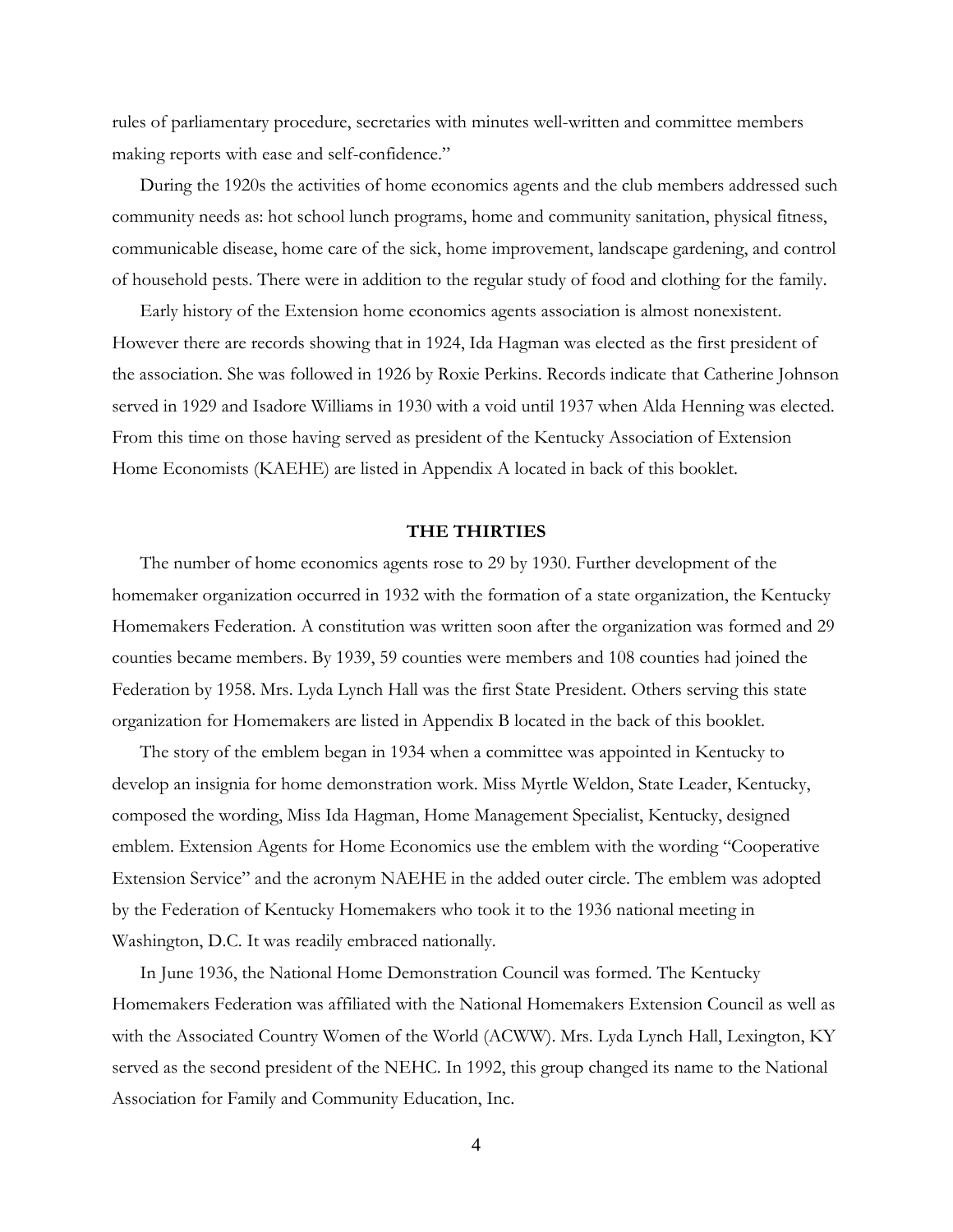rules of parliamentary procedure, secretaries with minutes well-written and committee members making reports with ease and self-confidence."

 During the 1920s the activities of home economics agents and the club members addressed such community needs as: hot school lunch programs, home and community sanitation, physical fitness, communicable disease, home care of the sick, home improvement, landscape gardening, and control of household pests. There were in addition to the regular study of food and clothing for the family.

 Early history of the Extension home economics agents association is almost nonexistent. However there are records showing that in 1924, Ida Hagman was elected as the first president of the association. She was followed in 1926 by Roxie Perkins. Records indicate that Catherine Johnson served in 1929 and Isadore Williams in 1930 with a void until 1937 when Alda Henning was elected. From this time on those having served as president of the Kentucky Association of Extension Home Economists (KAEHE) are listed in Appendix A located in back of this booklet.

#### **THE THIRTIES**

The number of home economics agents rose to 29 by 1930. Further development of the homemaker organization occurred in 1932 with the formation of a state organization, the Kentucky Homemakers Federation. A constitution was written soon after the organization was formed and 29 counties became members. By 1939, 59 counties were members and 108 counties had joined the Federation by 1958. Mrs. Lyda Lynch Hall was the first State President. Others serving this state organization for Homemakers are listed in Appendix B located in the back of this booklet.

 The story of the emblem began in 1934 when a committee was appointed in Kentucky to develop an insignia for home demonstration work. Miss Myrtle Weldon, State Leader, Kentucky, composed the wording, Miss Ida Hagman, Home Management Specialist, Kentucky, designed emblem. Extension Agents for Home Economics use the emblem with the wording "Cooperative Extension Service" and the acronym NAEHE in the added outer circle. The emblem was adopted by the Federation of Kentucky Homemakers who took it to the 1936 national meeting in Washington, D.C. It was readily embraced nationally.

 In June 1936, the National Home Demonstration Council was formed. The Kentucky Homemakers Federation was affiliated with the National Homemakers Extension Council as well as with the Associated Country Women of the World (ACWW). Mrs. Lyda Lynch Hall, Lexington, KY served as the second president of the NEHC. In 1992, this group changed its name to the National Association for Family and Community Education, Inc.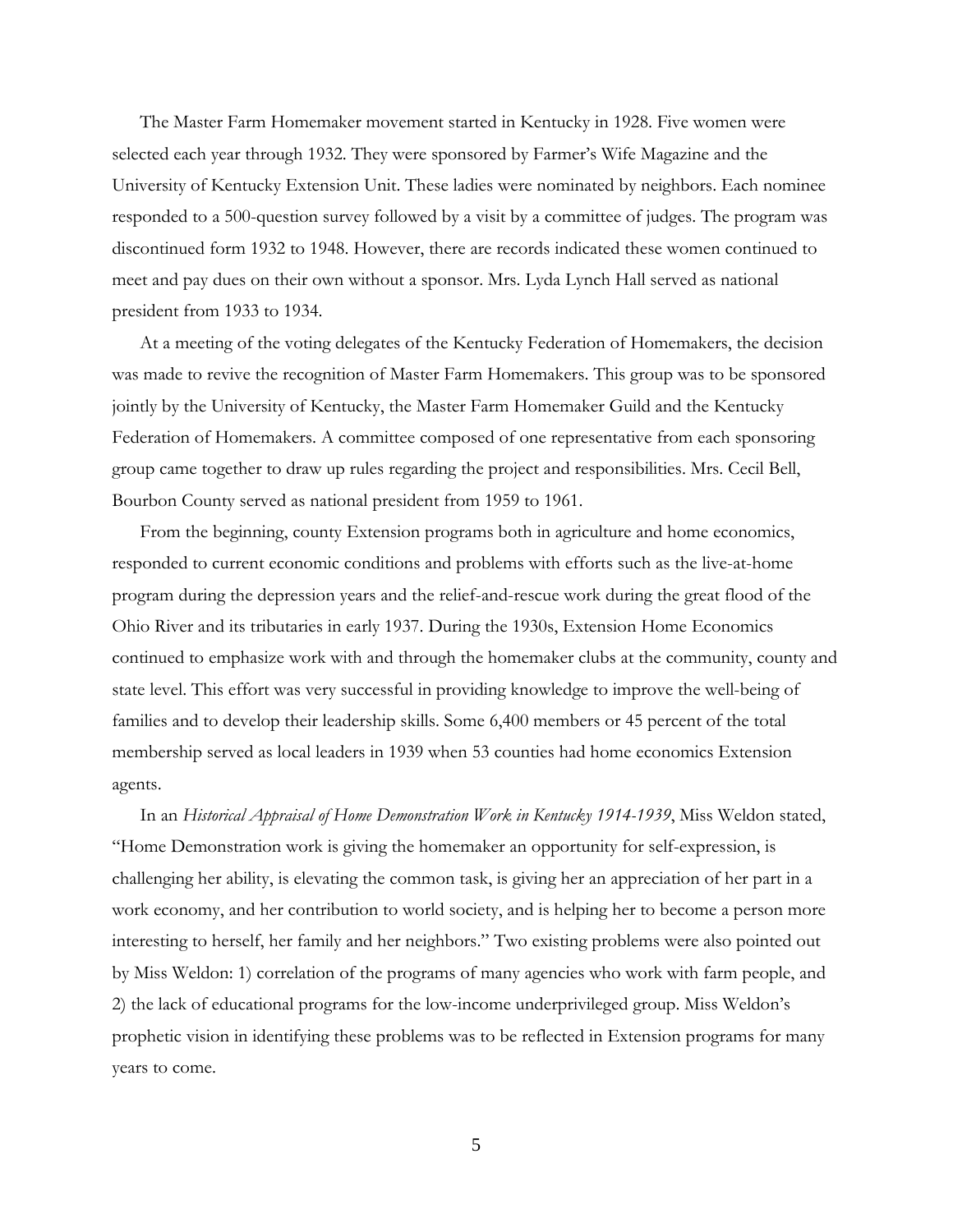The Master Farm Homemaker movement started in Kentucky in 1928. Five women were selected each year through 1932. They were sponsored by Farmer's Wife Magazine and the University of Kentucky Extension Unit. These ladies were nominated by neighbors. Each nominee responded to a 500-question survey followed by a visit by a committee of judges. The program was discontinued form 1932 to 1948. However, there are records indicated these women continued to meet and pay dues on their own without a sponsor. Mrs. Lyda Lynch Hall served as national president from 1933 to 1934.

 At a meeting of the voting delegates of the Kentucky Federation of Homemakers, the decision was made to revive the recognition of Master Farm Homemakers. This group was to be sponsored jointly by the University of Kentucky, the Master Farm Homemaker Guild and the Kentucky Federation of Homemakers. A committee composed of one representative from each sponsoring group came together to draw up rules regarding the project and responsibilities. Mrs. Cecil Bell, Bourbon County served as national president from 1959 to 1961.

 From the beginning, county Extension programs both in agriculture and home economics, responded to current economic conditions and problems with efforts such as the live-at-home program during the depression years and the relief-and-rescue work during the great flood of the Ohio River and its tributaries in early 1937. During the 1930s, Extension Home Economics continued to emphasize work with and through the homemaker clubs at the community, county and state level. This effort was very successful in providing knowledge to improve the well-being of families and to develop their leadership skills. Some 6,400 members or 45 percent of the total membership served as local leaders in 1939 when 53 counties had home economics Extension agents.

 In an *Historical Appraisal of Home Demonstration Work in Kentucky 1914-1939*, Miss Weldon stated, "Home Demonstration work is giving the homemaker an opportunity for self-expression, is challenging her ability, is elevating the common task, is giving her an appreciation of her part in a work economy, and her contribution to world society, and is helping her to become a person more interesting to herself, her family and her neighbors." Two existing problems were also pointed out by Miss Weldon: 1) correlation of the programs of many agencies who work with farm people, and 2) the lack of educational programs for the low-income underprivileged group. Miss Weldon's prophetic vision in identifying these problems was to be reflected in Extension programs for many years to come.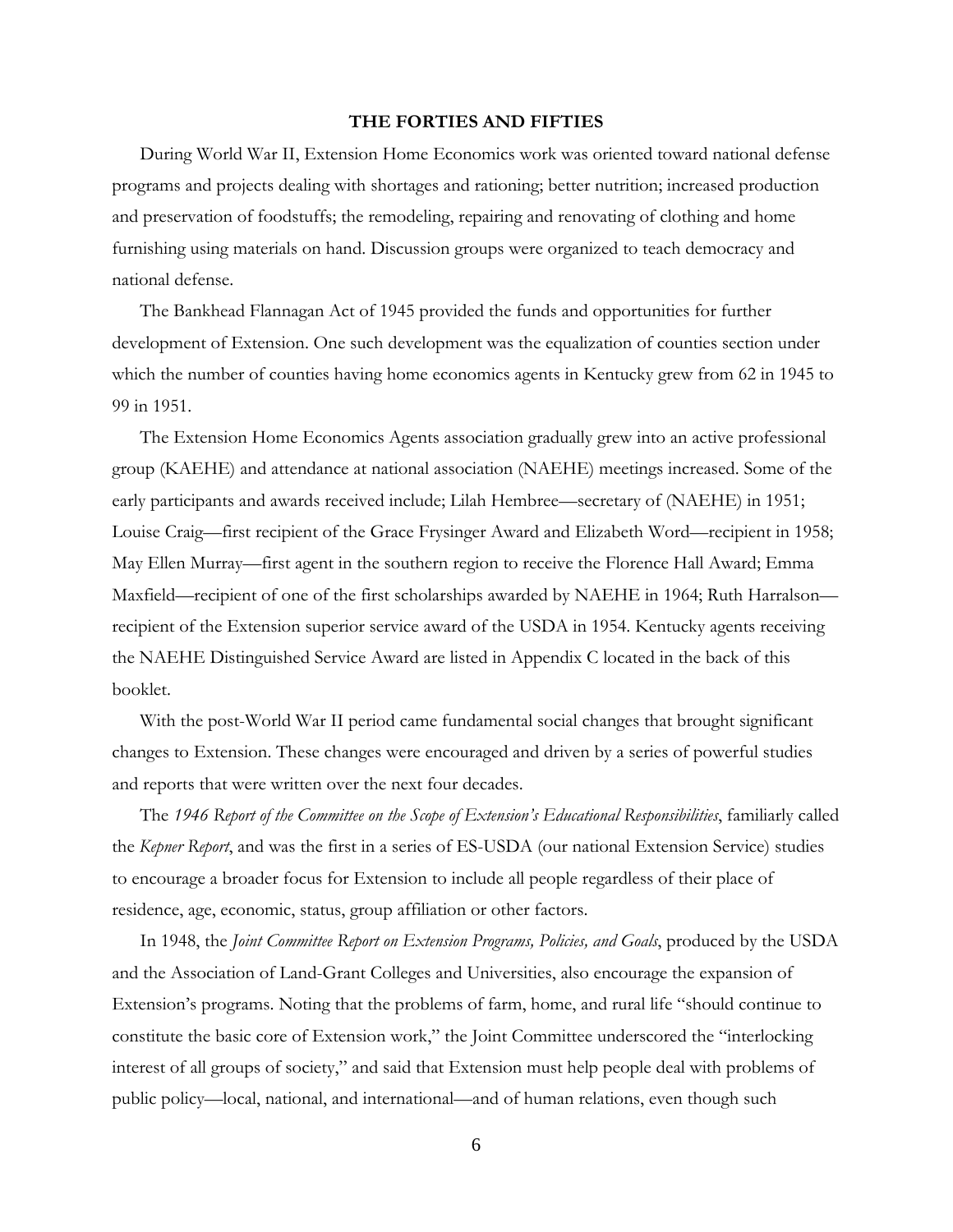#### **THE FORTIES AND FIFTIES**

During World War II, Extension Home Economics work was oriented toward national defense programs and projects dealing with shortages and rationing; better nutrition; increased production and preservation of foodstuffs; the remodeling, repairing and renovating of clothing and home furnishing using materials on hand. Discussion groups were organized to teach democracy and national defense.

 The Bankhead Flannagan Act of 1945 provided the funds and opportunities for further development of Extension. One such development was the equalization of counties section under which the number of counties having home economics agents in Kentucky grew from 62 in 1945 to 99 in 1951.

 The Extension Home Economics Agents association gradually grew into an active professional group (KAEHE) and attendance at national association (NAEHE) meetings increased. Some of the early participants and awards received include; Lilah Hembree—secretary of (NAEHE) in 1951; Louise Craig—first recipient of the Grace Frysinger Award and Elizabeth Word—recipient in 1958; May Ellen Murray—first agent in the southern region to receive the Florence Hall Award; Emma Maxfield—recipient of one of the first scholarships awarded by NAEHE in 1964; Ruth Harralson recipient of the Extension superior service award of the USDA in 1954. Kentucky agents receiving the NAEHE Distinguished Service Award are listed in Appendix C located in the back of this booklet.

 With the post-World War II period came fundamental social changes that brought significant changes to Extension. These changes were encouraged and driven by a series of powerful studies and reports that were written over the next four decades.

 The *1946 Report of the Committee on the Scope of Extension's Educational Responsibilities*, familiarly called the *Kepner Report*, and was the first in a series of ES-USDA (our national Extension Service) studies to encourage a broader focus for Extension to include all people regardless of their place of residence, age, economic, status, group affiliation or other factors.

In 1948, the *Joint Committee Report on Extension Programs, Policies, and Goals*, produced by the USDA and the Association of Land-Grant Colleges and Universities, also encourage the expansion of Extension's programs. Noting that the problems of farm, home, and rural life "should continue to constitute the basic core of Extension work," the Joint Committee underscored the "interlocking interest of all groups of society," and said that Extension must help people deal with problems of public policy—local, national, and international—and of human relations, even though such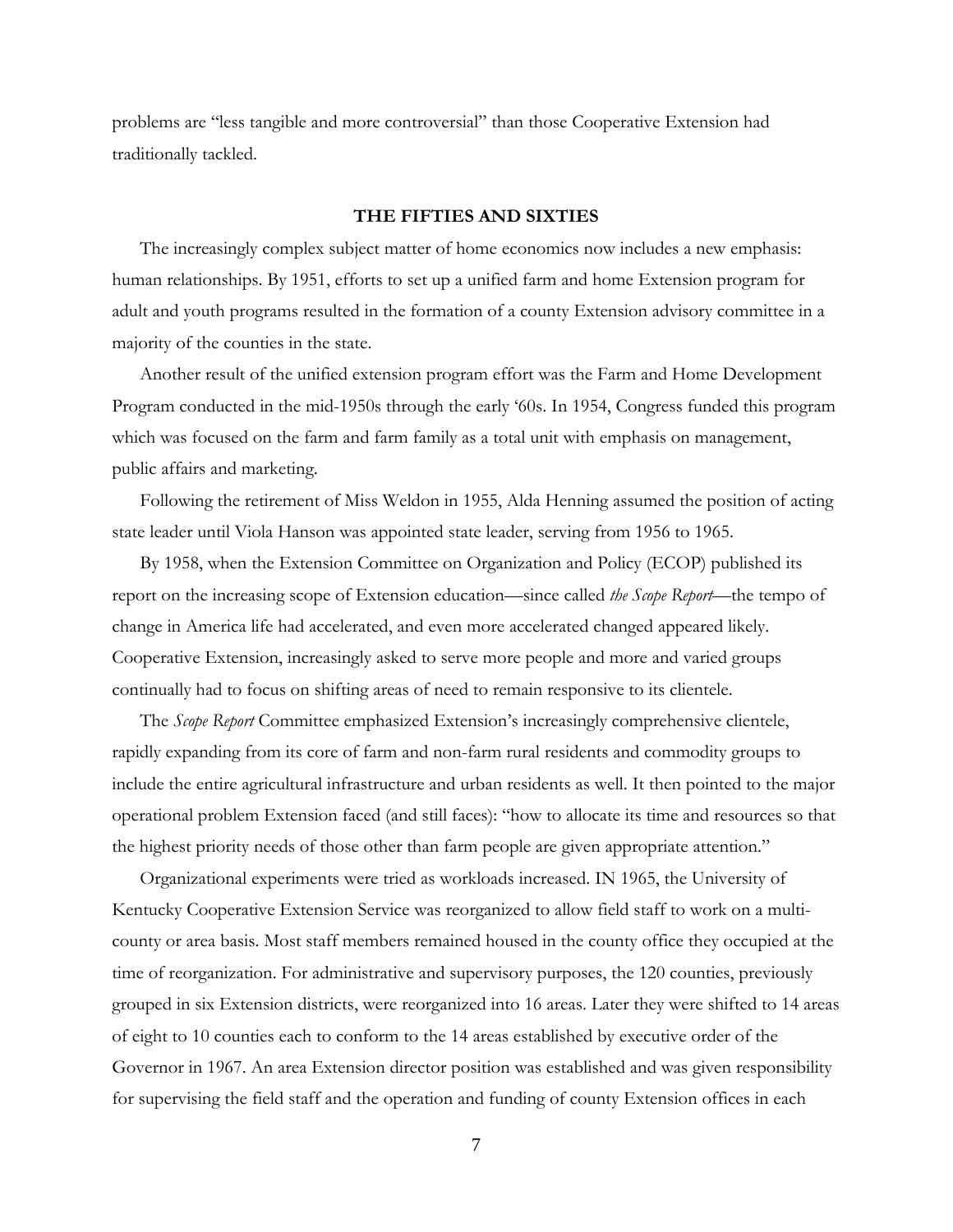problems are "less tangible and more controversial" than those Cooperative Extension had traditionally tackled.

## **THE FIFTIES AND SIXTIES**

The increasingly complex subject matter of home economics now includes a new emphasis: human relationships. By 1951, efforts to set up a unified farm and home Extension program for adult and youth programs resulted in the formation of a county Extension advisory committee in a majority of the counties in the state.

 Another result of the unified extension program effort was the Farm and Home Development Program conducted in the mid-1950s through the early '60s. In 1954, Congress funded this program which was focused on the farm and farm family as a total unit with emphasis on management, public affairs and marketing.

 Following the retirement of Miss Weldon in 1955, Alda Henning assumed the position of acting state leader until Viola Hanson was appointed state leader, serving from 1956 to 1965.

 By 1958, when the Extension Committee on Organization and Policy (ECOP) published its report on the increasing scope of Extension education—since called *the Scope Report*—the tempo of change in America life had accelerated, and even more accelerated changed appeared likely. Cooperative Extension, increasingly asked to serve more people and more and varied groups continually had to focus on shifting areas of need to remain responsive to its clientele.

 The *Scope Report* Committee emphasized Extension's increasingly comprehensive clientele, rapidly expanding from its core of farm and non-farm rural residents and commodity groups to include the entire agricultural infrastructure and urban residents as well. It then pointed to the major operational problem Extension faced (and still faces): "how to allocate its time and resources so that the highest priority needs of those other than farm people are given appropriate attention."

 Organizational experiments were tried as workloads increased. IN 1965, the University of Kentucky Cooperative Extension Service was reorganized to allow field staff to work on a multicounty or area basis. Most staff members remained housed in the county office they occupied at the time of reorganization. For administrative and supervisory purposes, the 120 counties, previously grouped in six Extension districts, were reorganized into 16 areas. Later they were shifted to 14 areas of eight to 10 counties each to conform to the 14 areas established by executive order of the Governor in 1967. An area Extension director position was established and was given responsibility for supervising the field staff and the operation and funding of county Extension offices in each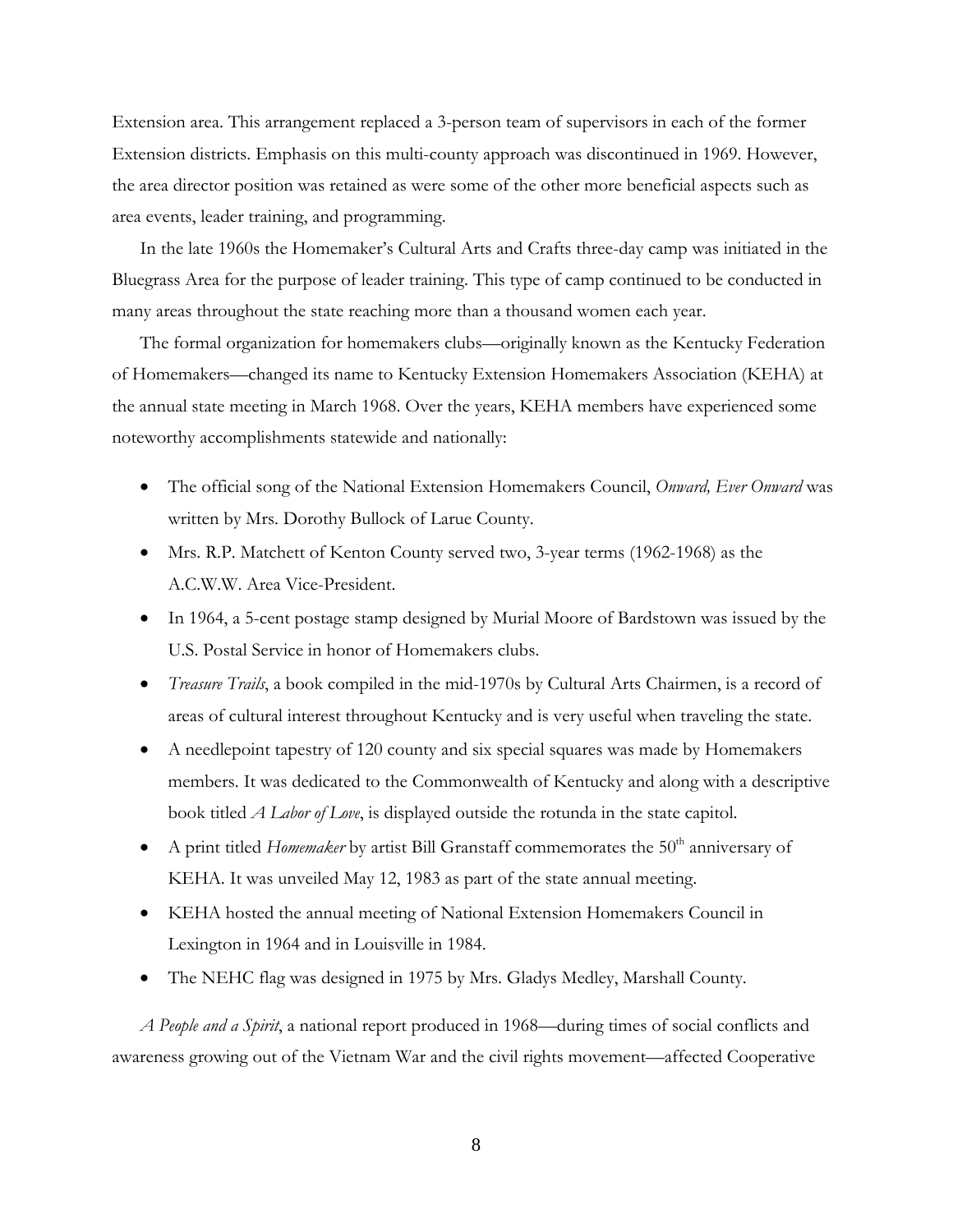Extension area. This arrangement replaced a 3-person team of supervisors in each of the former Extension districts. Emphasis on this multi-county approach was discontinued in 1969. However, the area director position was retained as were some of the other more beneficial aspects such as area events, leader training, and programming.

 In the late 1960s the Homemaker's Cultural Arts and Crafts three-day camp was initiated in the Bluegrass Area for the purpose of leader training. This type of camp continued to be conducted in many areas throughout the state reaching more than a thousand women each year.

 The formal organization for homemakers clubs—originally known as the Kentucky Federation of Homemakers—changed its name to Kentucky Extension Homemakers Association (KEHA) at the annual state meeting in March 1968. Over the years, KEHA members have experienced some noteworthy accomplishments statewide and nationally:

- The official song of the National Extension Homemakers Council, *Onward, Ever Onward* was written by Mrs. Dorothy Bullock of Larue County.
- Mrs. R.P. Matchett of Kenton County served two, 3-year terms (1962-1968) as the A.C.W.W. Area Vice-President.
- In 1964, a 5-cent postage stamp designed by Murial Moore of Bardstown was issued by the U.S. Postal Service in honor of Homemakers clubs.
- *Treasure Trails*, a book compiled in the mid-1970s by Cultural Arts Chairmen, is a record of areas of cultural interest throughout Kentucky and is very useful when traveling the state.
- A needlepoint tapestry of 120 county and six special squares was made by Homemakers members. It was dedicated to the Commonwealth of Kentucky and along with a descriptive book titled *A Labor of Love*, is displayed outside the rotunda in the state capitol.
- A print titled *Homemaker* by artist Bill Granstaff commemorates the  $50<sup>th</sup>$  anniversary of KEHA. It was unveiled May 12, 1983 as part of the state annual meeting.
- KEHA hosted the annual meeting of National Extension Homemakers Council in Lexington in 1964 and in Louisville in 1984.
- The NEHC flag was designed in 1975 by Mrs. Gladys Medley, Marshall County.

 *A People and a Spirit*, a national report produced in 1968—during times of social conflicts and awareness growing out of the Vietnam War and the civil rights movement—affected Cooperative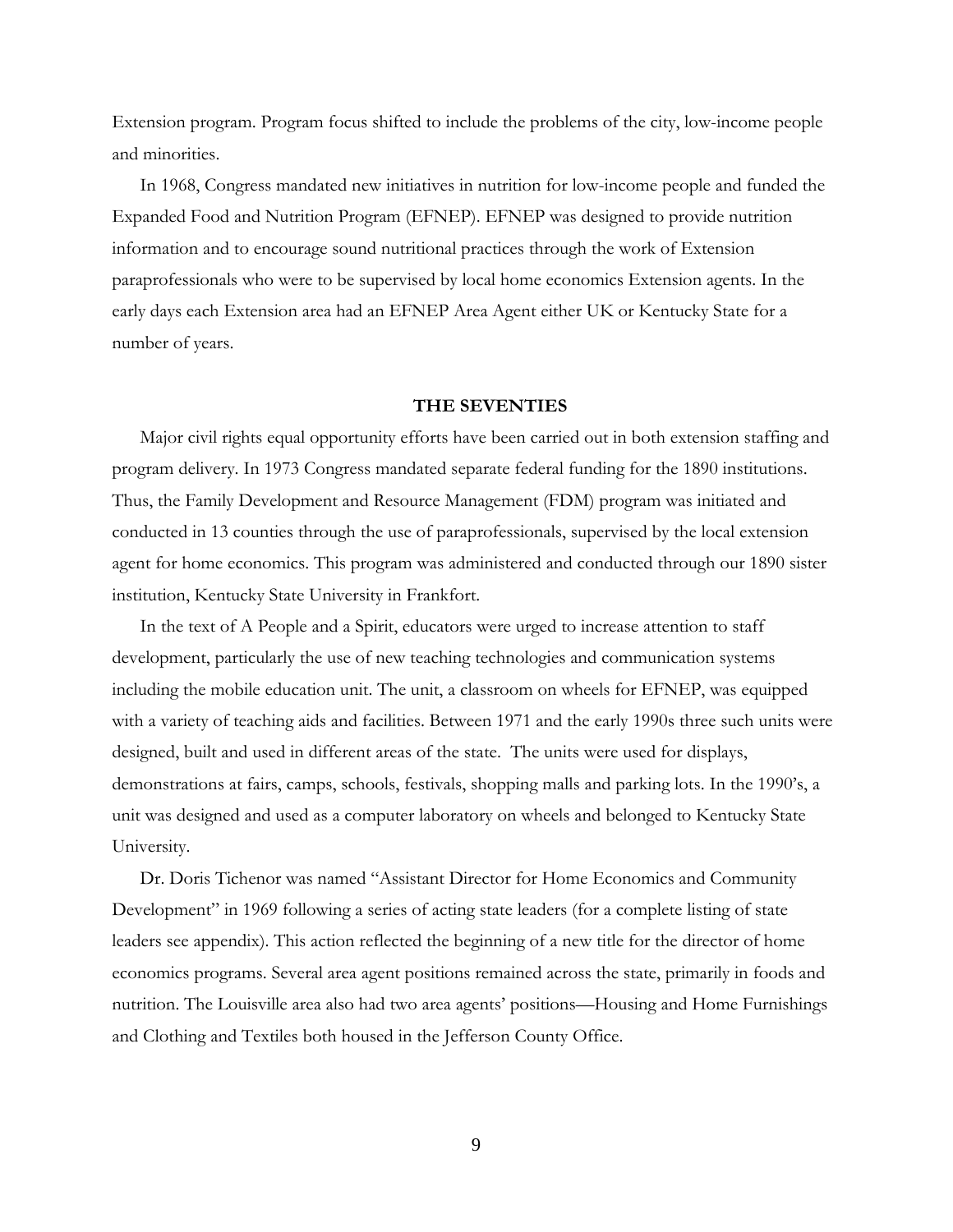Extension program. Program focus shifted to include the problems of the city, low-income people and minorities.

 In 1968, Congress mandated new initiatives in nutrition for low-income people and funded the Expanded Food and Nutrition Program (EFNEP). EFNEP was designed to provide nutrition information and to encourage sound nutritional practices through the work of Extension paraprofessionals who were to be supervised by local home economics Extension agents. In the early days each Extension area had an EFNEP Area Agent either UK or Kentucky State for a number of years.

# **THE SEVENTIES**

Major civil rights equal opportunity efforts have been carried out in both extension staffing and program delivery. In 1973 Congress mandated separate federal funding for the 1890 institutions. Thus, the Family Development and Resource Management (FDM) program was initiated and conducted in 13 counties through the use of paraprofessionals, supervised by the local extension agent for home economics. This program was administered and conducted through our 1890 sister institution, Kentucky State University in Frankfort.

 In the text of A People and a Spirit, educators were urged to increase attention to staff development, particularly the use of new teaching technologies and communication systems including the mobile education unit. The unit, a classroom on wheels for EFNEP, was equipped with a variety of teaching aids and facilities. Between 1971 and the early 1990s three such units were designed, built and used in different areas of the state. The units were used for displays, demonstrations at fairs, camps, schools, festivals, shopping malls and parking lots. In the 1990's, a unit was designed and used as a computer laboratory on wheels and belonged to Kentucky State University.

 Dr. Doris Tichenor was named "Assistant Director for Home Economics and Community Development" in 1969 following a series of acting state leaders (for a complete listing of state leaders see appendix). This action reflected the beginning of a new title for the director of home economics programs. Several area agent positions remained across the state, primarily in foods and nutrition. The Louisville area also had two area agents' positions—Housing and Home Furnishings and Clothing and Textiles both housed in the Jefferson County Office.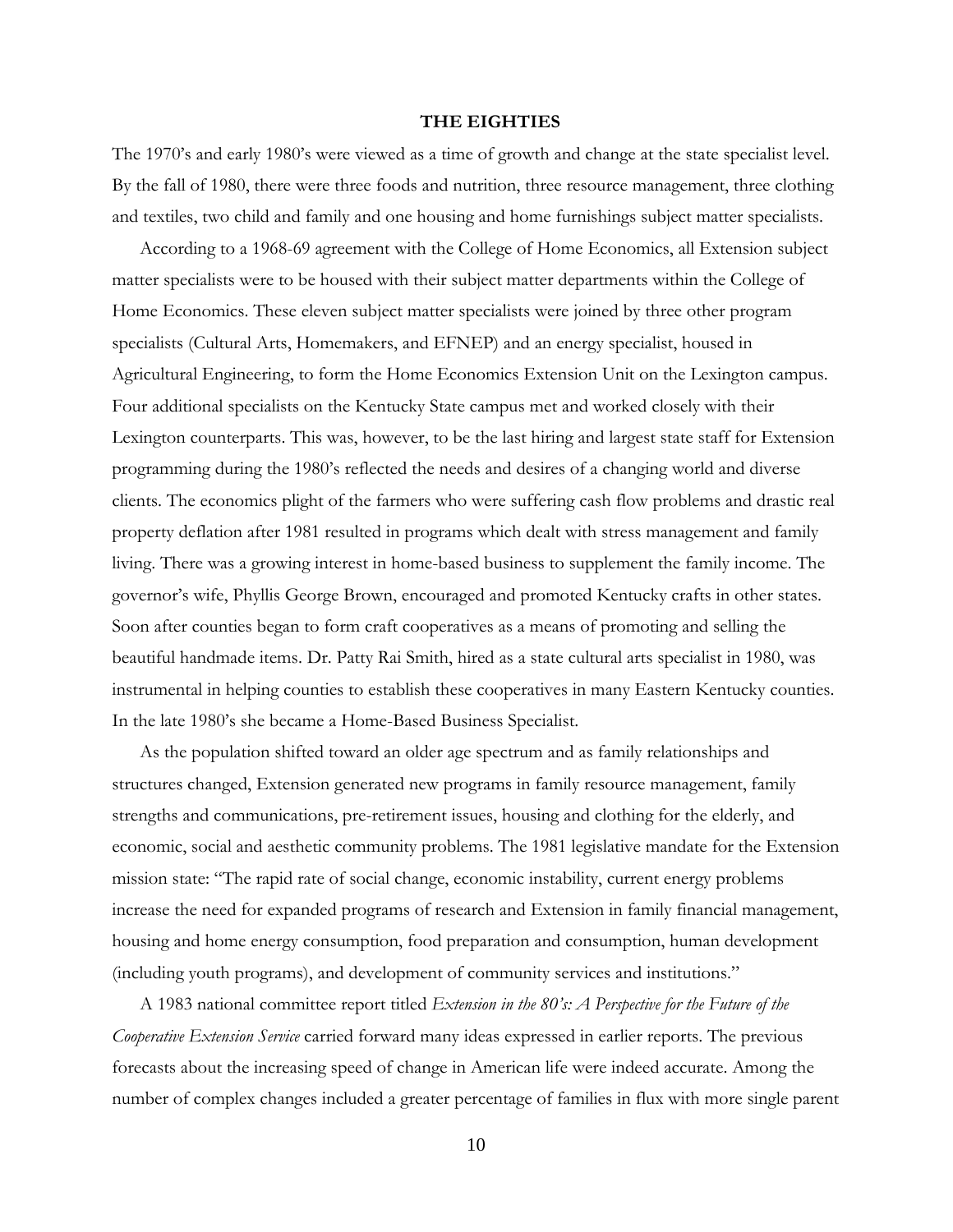#### **THE EIGHTIES**

The 1970's and early 1980's were viewed as a time of growth and change at the state specialist level. By the fall of 1980, there were three foods and nutrition, three resource management, three clothing and textiles, two child and family and one housing and home furnishings subject matter specialists.

 According to a 1968-69 agreement with the College of Home Economics, all Extension subject matter specialists were to be housed with their subject matter departments within the College of Home Economics. These eleven subject matter specialists were joined by three other program specialists (Cultural Arts, Homemakers, and EFNEP) and an energy specialist, housed in Agricultural Engineering, to form the Home Economics Extension Unit on the Lexington campus. Four additional specialists on the Kentucky State campus met and worked closely with their Lexington counterparts. This was, however, to be the last hiring and largest state staff for Extension programming during the 1980's reflected the needs and desires of a changing world and diverse clients. The economics plight of the farmers who were suffering cash flow problems and drastic real property deflation after 1981 resulted in programs which dealt with stress management and family living. There was a growing interest in home-based business to supplement the family income. The governor's wife, Phyllis George Brown, encouraged and promoted Kentucky crafts in other states. Soon after counties began to form craft cooperatives as a means of promoting and selling the beautiful handmade items. Dr. Patty Rai Smith, hired as a state cultural arts specialist in 1980, was instrumental in helping counties to establish these cooperatives in many Eastern Kentucky counties. In the late 1980's she became a Home-Based Business Specialist.

 As the population shifted toward an older age spectrum and as family relationships and structures changed, Extension generated new programs in family resource management, family strengths and communications, pre-retirement issues, housing and clothing for the elderly, and economic, social and aesthetic community problems. The 1981 legislative mandate for the Extension mission state: "The rapid rate of social change, economic instability, current energy problems increase the need for expanded programs of research and Extension in family financial management, housing and home energy consumption, food preparation and consumption, human development (including youth programs), and development of community services and institutions."

 A 1983 national committee report titled *Extension in the 80's: A Perspective for the Future of the Cooperative Extension Service* carried forward many ideas expressed in earlier reports. The previous forecasts about the increasing speed of change in American life were indeed accurate. Among the number of complex changes included a greater percentage of families in flux with more single parent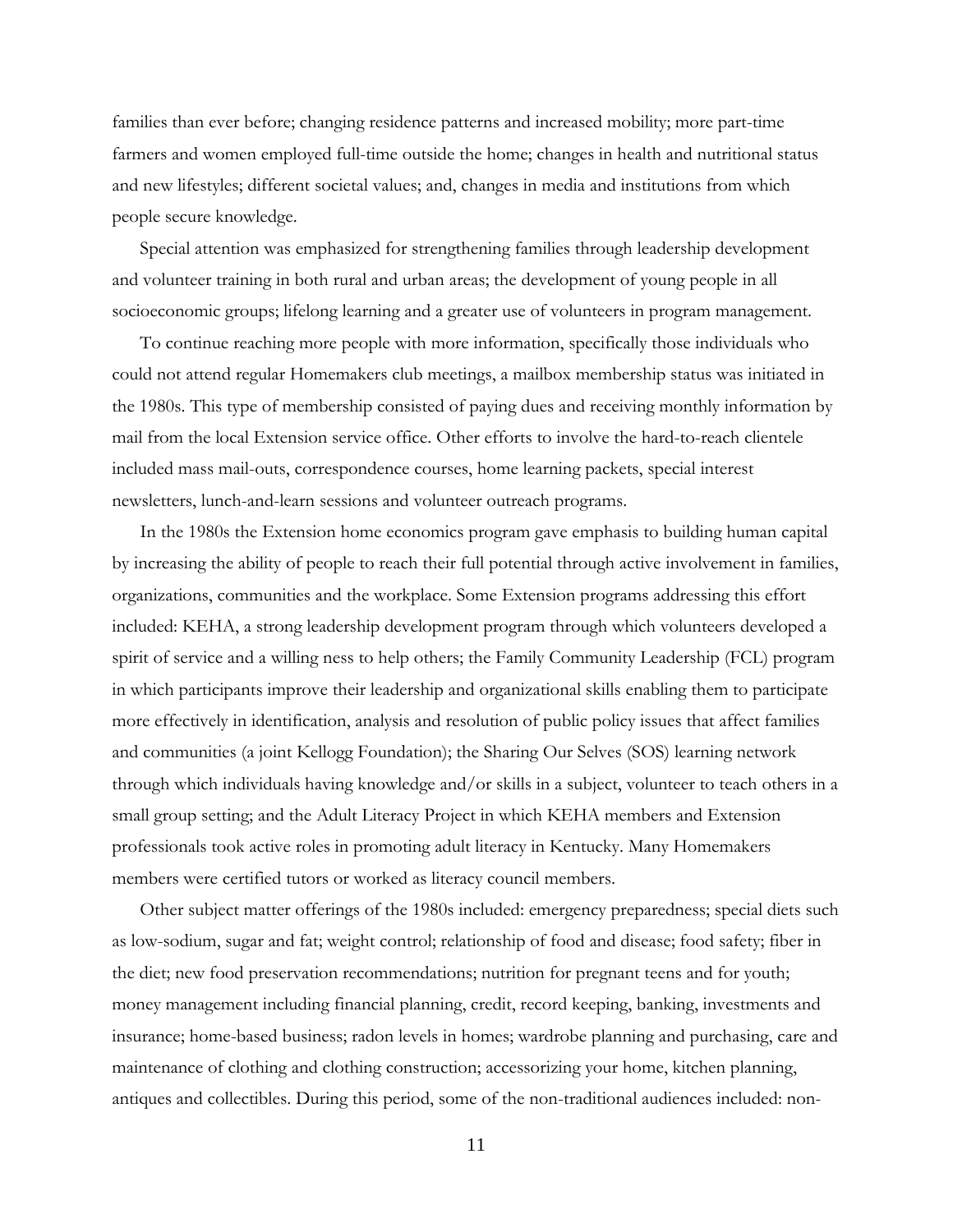families than ever before; changing residence patterns and increased mobility; more part-time farmers and women employed full-time outside the home; changes in health and nutritional status and new lifestyles; different societal values; and, changes in media and institutions from which people secure knowledge.

 Special attention was emphasized for strengthening families through leadership development and volunteer training in both rural and urban areas; the development of young people in all socioeconomic groups; lifelong learning and a greater use of volunteers in program management.

 To continue reaching more people with more information, specifically those individuals who could not attend regular Homemakers club meetings, a mailbox membership status was initiated in the 1980s. This type of membership consisted of paying dues and receiving monthly information by mail from the local Extension service office. Other efforts to involve the hard-to-reach clientele included mass mail-outs, correspondence courses, home learning packets, special interest newsletters, lunch-and-learn sessions and volunteer outreach programs.

 In the 1980s the Extension home economics program gave emphasis to building human capital by increasing the ability of people to reach their full potential through active involvement in families, organizations, communities and the workplace. Some Extension programs addressing this effort included: KEHA, a strong leadership development program through which volunteers developed a spirit of service and a willing ness to help others; the Family Community Leadership (FCL) program in which participants improve their leadership and organizational skills enabling them to participate more effectively in identification, analysis and resolution of public policy issues that affect families and communities (a joint Kellogg Foundation); the Sharing Our Selves (SOS) learning network through which individuals having knowledge and/or skills in a subject, volunteer to teach others in a small group setting; and the Adult Literacy Project in which KEHA members and Extension professionals took active roles in promoting adult literacy in Kentucky. Many Homemakers members were certified tutors or worked as literacy council members.

 Other subject matter offerings of the 1980s included: emergency preparedness; special diets such as low-sodium, sugar and fat; weight control; relationship of food and disease; food safety; fiber in the diet; new food preservation recommendations; nutrition for pregnant teens and for youth; money management including financial planning, credit, record keeping, banking, investments and insurance; home-based business; radon levels in homes; wardrobe planning and purchasing, care and maintenance of clothing and clothing construction; accessorizing your home, kitchen planning, antiques and collectibles. During this period, some of the non-traditional audiences included: non-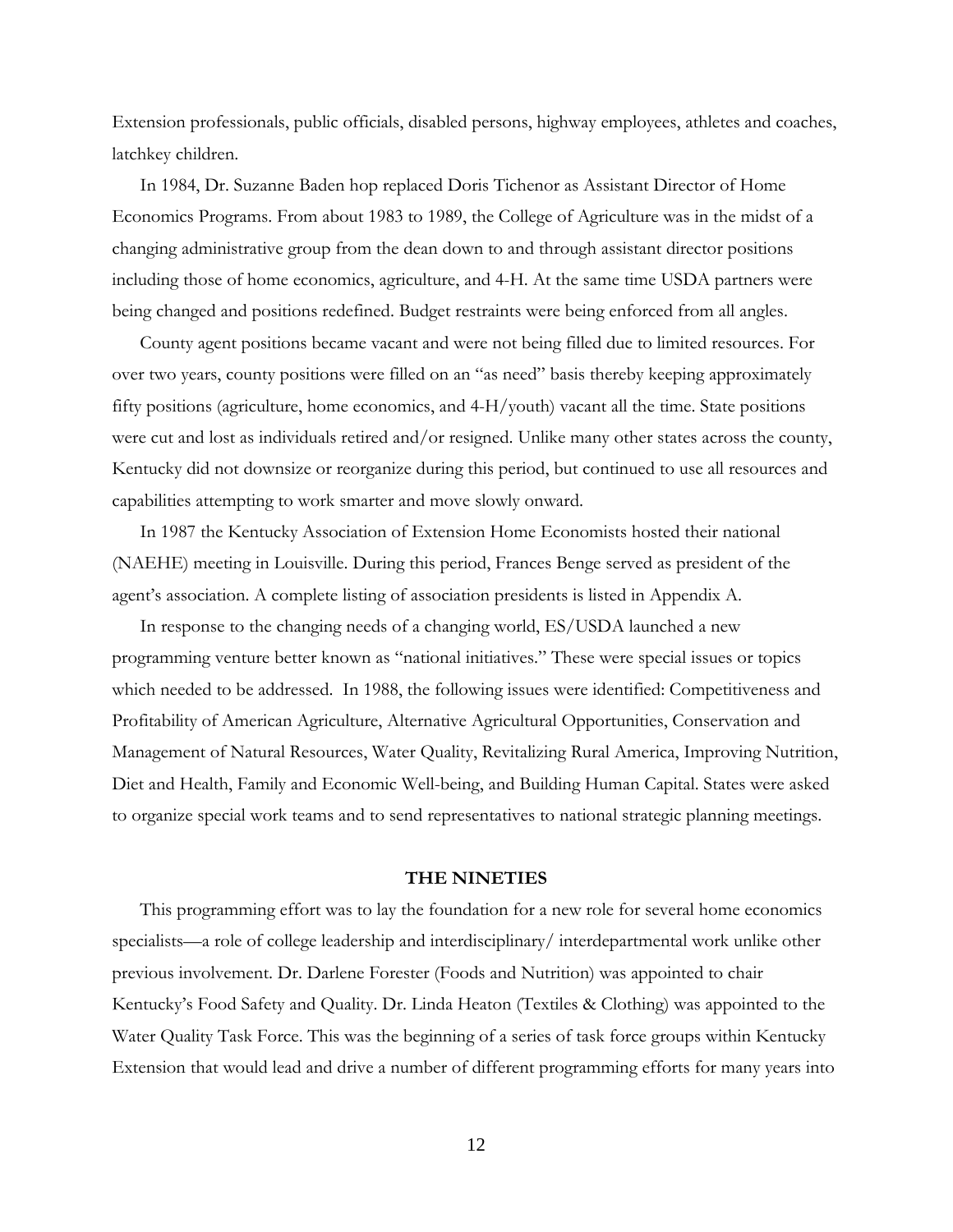Extension professionals, public officials, disabled persons, highway employees, athletes and coaches, latchkey children.

 In 1984, Dr. Suzanne Baden hop replaced Doris Tichenor as Assistant Director of Home Economics Programs. From about 1983 to 1989, the College of Agriculture was in the midst of a changing administrative group from the dean down to and through assistant director positions including those of home economics, agriculture, and 4-H. At the same time USDA partners were being changed and positions redefined. Budget restraints were being enforced from all angles.

 County agent positions became vacant and were not being filled due to limited resources. For over two years, county positions were filled on an "as need" basis thereby keeping approximately fifty positions (agriculture, home economics, and 4-H/youth) vacant all the time. State positions were cut and lost as individuals retired and/or resigned. Unlike many other states across the county, Kentucky did not downsize or reorganize during this period, but continued to use all resources and capabilities attempting to work smarter and move slowly onward.

 In 1987 the Kentucky Association of Extension Home Economists hosted their national (NAEHE) meeting in Louisville. During this period, Frances Benge served as president of the agent's association. A complete listing of association presidents is listed in Appendix A.

 In response to the changing needs of a changing world, ES/USDA launched a new programming venture better known as "national initiatives." These were special issues or topics which needed to be addressed. In 1988, the following issues were identified: Competitiveness and Profitability of American Agriculture, Alternative Agricultural Opportunities, Conservation and Management of Natural Resources, Water Quality, Revitalizing Rural America, Improving Nutrition, Diet and Health, Family and Economic Well-being, and Building Human Capital. States were asked to organize special work teams and to send representatives to national strategic planning meetings.

#### **THE NINETIES**

This programming effort was to lay the foundation for a new role for several home economics specialists—a role of college leadership and interdisciplinary/ interdepartmental work unlike other previous involvement. Dr. Darlene Forester (Foods and Nutrition) was appointed to chair Kentucky's Food Safety and Quality. Dr. Linda Heaton (Textiles & Clothing) was appointed to the Water Quality Task Force. This was the beginning of a series of task force groups within Kentucky Extension that would lead and drive a number of different programming efforts for many years into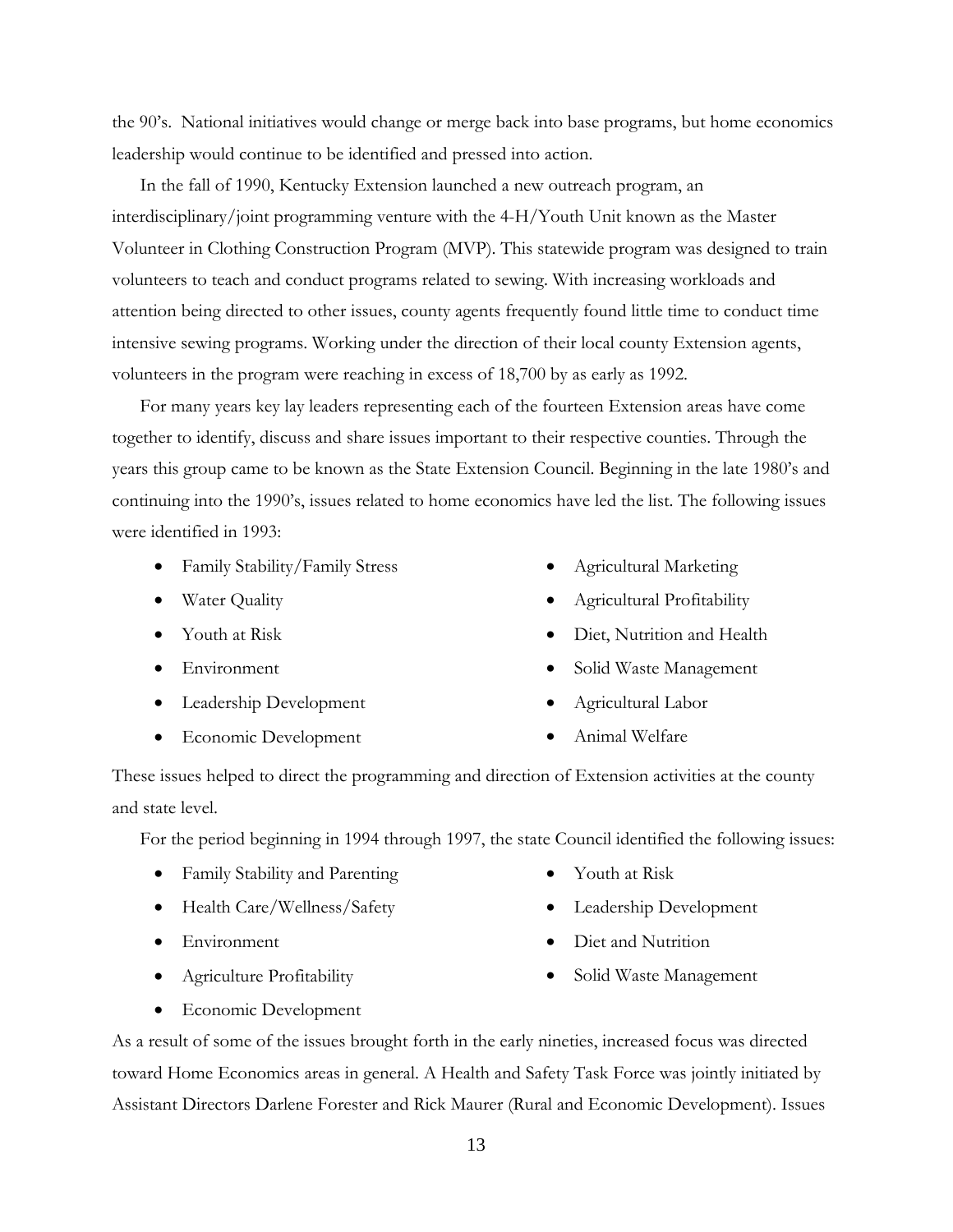the 90's. National initiatives would change or merge back into base programs, but home economics leadership would continue to be identified and pressed into action.

 In the fall of 1990, Kentucky Extension launched a new outreach program, an interdisciplinary/joint programming venture with the 4-H/Youth Unit known as the Master Volunteer in Clothing Construction Program (MVP). This statewide program was designed to train volunteers to teach and conduct programs related to sewing. With increasing workloads and attention being directed to other issues, county agents frequently found little time to conduct time intensive sewing programs. Working under the direction of their local county Extension agents, volunteers in the program were reaching in excess of 18,700 by as early as 1992.

 For many years key lay leaders representing each of the fourteen Extension areas have come together to identify, discuss and share issues important to their respective counties. Through the years this group came to be known as the State Extension Council. Beginning in the late 1980's and continuing into the 1990's, issues related to home economics have led the list. The following issues were identified in 1993:

- Family Stability/Family Stress
- Water Quality
- Youth at Risk
- Environment
- Leadership Development
- Economic Development
- Agricultural Marketing
- Agricultural Profitability
- Diet, Nutrition and Health
- Solid Waste Management
- Agricultural Labor
- Animal Welfare

These issues helped to direct the programming and direction of Extension activities at the county and state level.

For the period beginning in 1994 through 1997, the state Council identified the following issues:

- Family Stability and Parenting
- Health Care/Wellness/Safety
- Environment
- Agriculture Profitability
- Youth at Risk
- Leadership Development
- Diet and Nutrition
- Solid Waste Management

• Economic Development

As a result of some of the issues brought forth in the early nineties, increased focus was directed toward Home Economics areas in general. A Health and Safety Task Force was jointly initiated by Assistant Directors Darlene Forester and Rick Maurer (Rural and Economic Development). Issues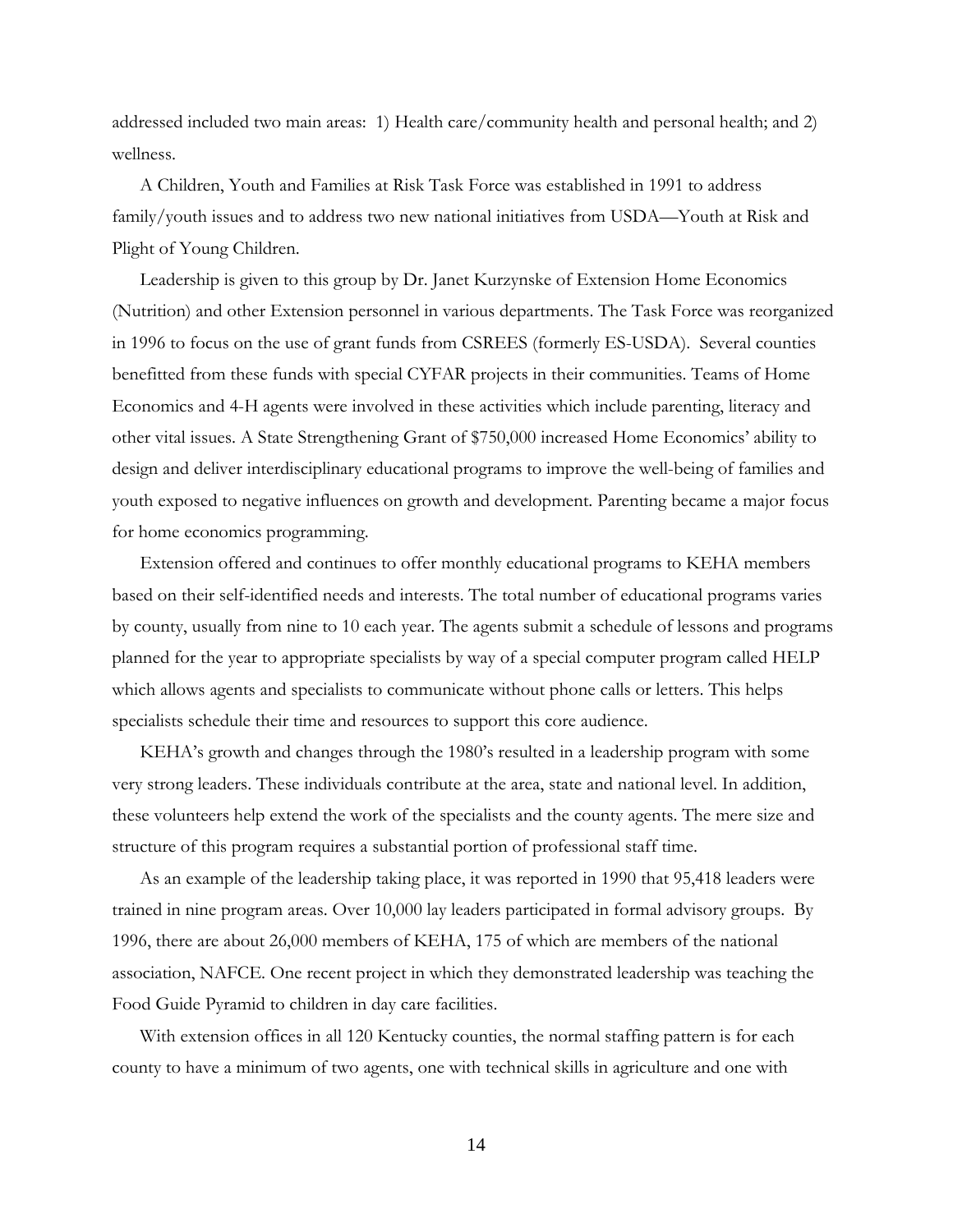addressed included two main areas: 1) Health care/community health and personal health; and 2) wellness.

 A Children, Youth and Families at Risk Task Force was established in 1991 to address family/youth issues and to address two new national initiatives from USDA—Youth at Risk and Plight of Young Children.

 Leadership is given to this group by Dr. Janet Kurzynske of Extension Home Economics (Nutrition) and other Extension personnel in various departments. The Task Force was reorganized in 1996 to focus on the use of grant funds from CSREES (formerly ES-USDA). Several counties benefitted from these funds with special CYFAR projects in their communities. Teams of Home Economics and 4-H agents were involved in these activities which include parenting, literacy and other vital issues. A State Strengthening Grant of \$750,000 increased Home Economics' ability to design and deliver interdisciplinary educational programs to improve the well-being of families and youth exposed to negative influences on growth and development. Parenting became a major focus for home economics programming.

 Extension offered and continues to offer monthly educational programs to KEHA members based on their self-identified needs and interests. The total number of educational programs varies by county, usually from nine to 10 each year. The agents submit a schedule of lessons and programs planned for the year to appropriate specialists by way of a special computer program called HELP which allows agents and specialists to communicate without phone calls or letters. This helps specialists schedule their time and resources to support this core audience.

 KEHA's growth and changes through the 1980's resulted in a leadership program with some very strong leaders. These individuals contribute at the area, state and national level. In addition, these volunteers help extend the work of the specialists and the county agents. The mere size and structure of this program requires a substantial portion of professional staff time.

 As an example of the leadership taking place, it was reported in 1990 that 95,418 leaders were trained in nine program areas. Over 10,000 lay leaders participated in formal advisory groups. By 1996, there are about 26,000 members of KEHA, 175 of which are members of the national association, NAFCE. One recent project in which they demonstrated leadership was teaching the Food Guide Pyramid to children in day care facilities.

 With extension offices in all 120 Kentucky counties, the normal staffing pattern is for each county to have a minimum of two agents, one with technical skills in agriculture and one with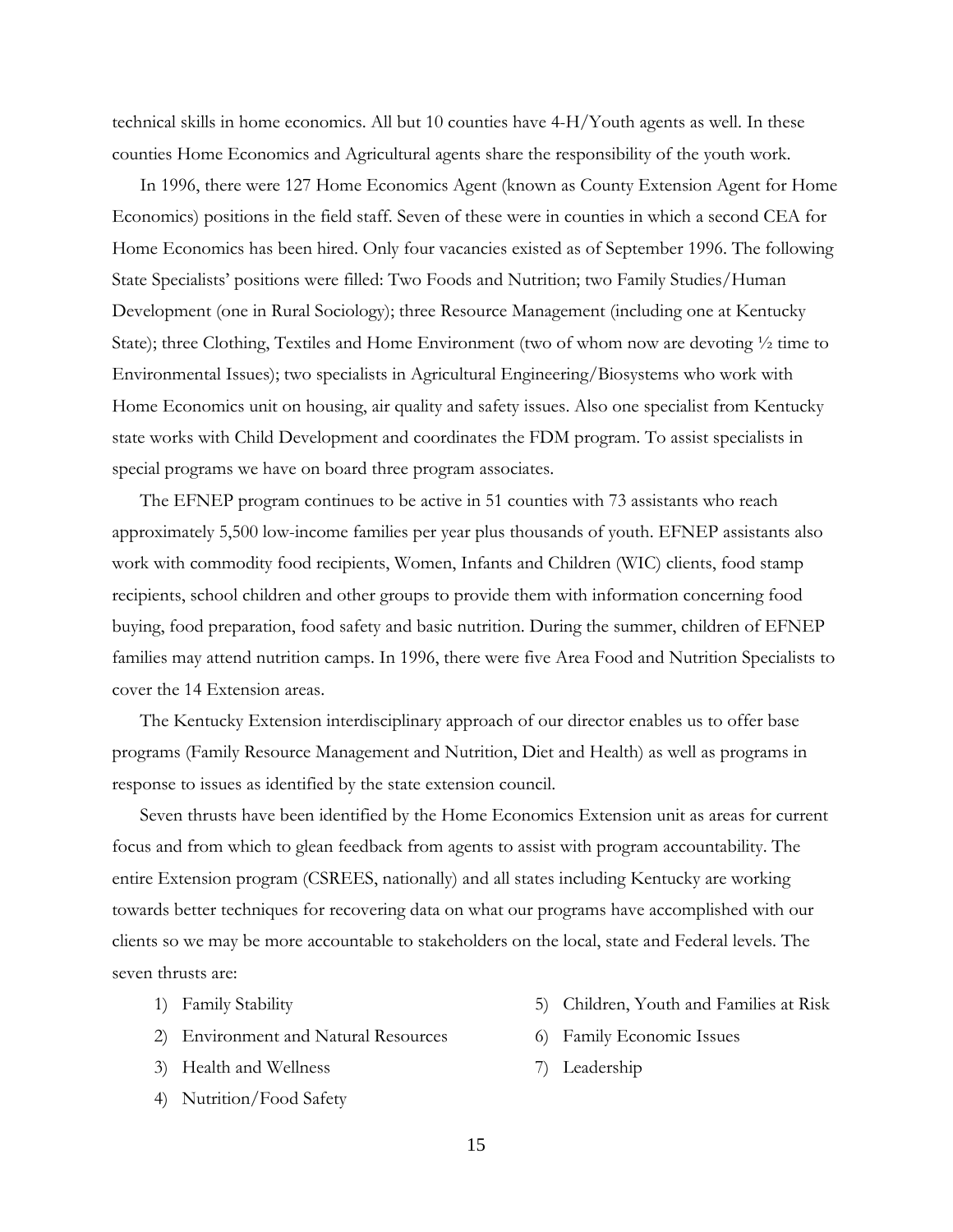technical skills in home economics. All but 10 counties have 4-H/Youth agents as well. In these counties Home Economics and Agricultural agents share the responsibility of the youth work.

 In 1996, there were 127 Home Economics Agent (known as County Extension Agent for Home Economics) positions in the field staff. Seven of these were in counties in which a second CEA for Home Economics has been hired. Only four vacancies existed as of September 1996. The following State Specialists' positions were filled: Two Foods and Nutrition; two Family Studies/Human Development (one in Rural Sociology); three Resource Management (including one at Kentucky State); three Clothing, Textiles and Home Environment (two of whom now are devoting  $\frac{1}{2}$  time to Environmental Issues); two specialists in Agricultural Engineering/Biosystems who work with Home Economics unit on housing, air quality and safety issues. Also one specialist from Kentucky state works with Child Development and coordinates the FDM program. To assist specialists in special programs we have on board three program associates.

 The EFNEP program continues to be active in 51 counties with 73 assistants who reach approximately 5,500 low-income families per year plus thousands of youth. EFNEP assistants also work with commodity food recipients, Women, Infants and Children (WIC) clients, food stamp recipients, school children and other groups to provide them with information concerning food buying, food preparation, food safety and basic nutrition. During the summer, children of EFNEP families may attend nutrition camps. In 1996, there were five Area Food and Nutrition Specialists to cover the 14 Extension areas.

 The Kentucky Extension interdisciplinary approach of our director enables us to offer base programs (Family Resource Management and Nutrition, Diet and Health) as well as programs in response to issues as identified by the state extension council.

 Seven thrusts have been identified by the Home Economics Extension unit as areas for current focus and from which to glean feedback from agents to assist with program accountability. The entire Extension program (CSREES, nationally) and all states including Kentucky are working towards better techniques for recovering data on what our programs have accomplished with our clients so we may be more accountable to stakeholders on the local, state and Federal levels. The seven thrusts are:

- 1) Family Stability
- 2) Environment and Natural Resources
- 3) Health and Wellness
- 4) Nutrition/Food Safety
- 5) Children, Youth and Families at Risk
- 6) Family Economic Issues
- 7) Leadership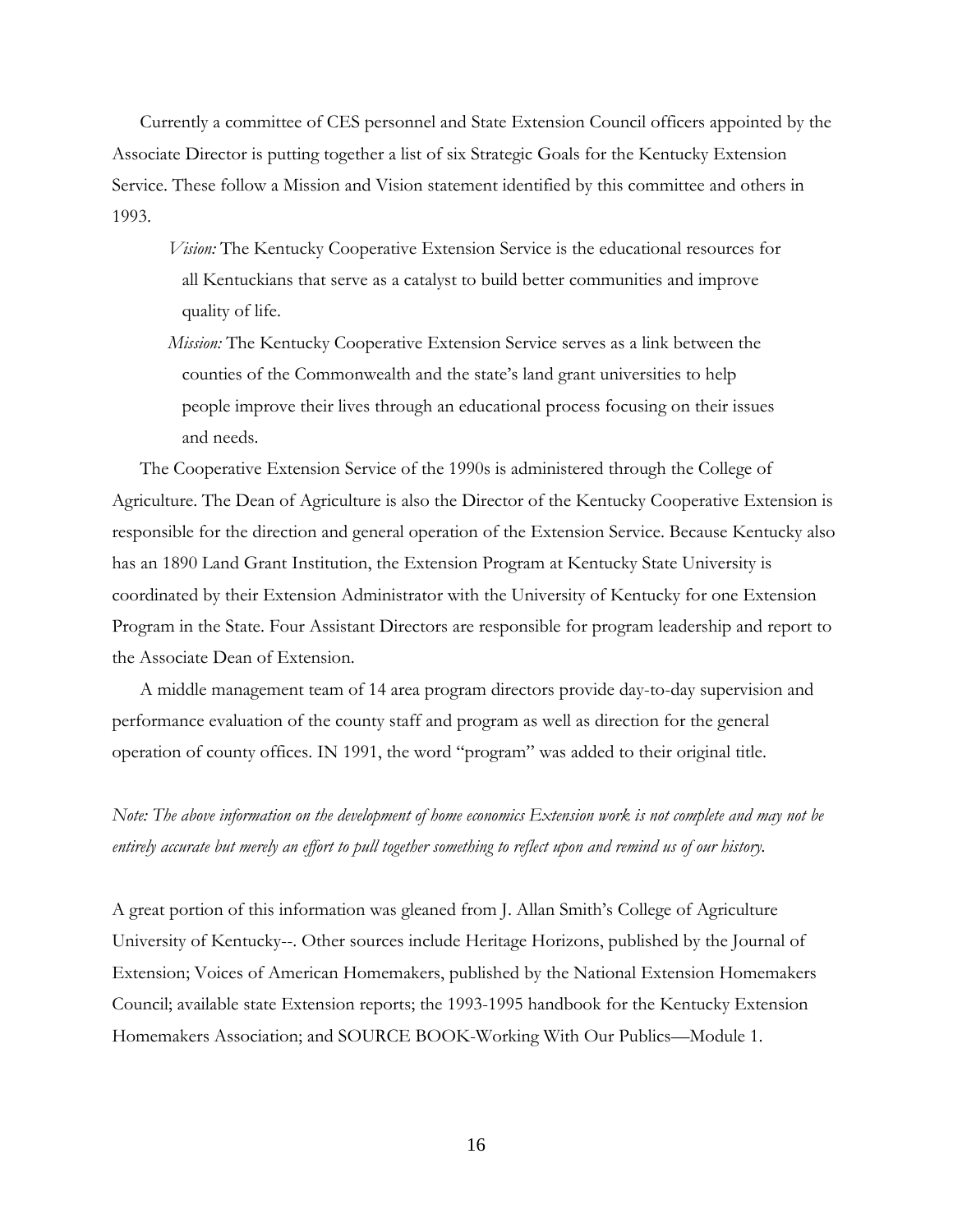Currently a committee of CES personnel and State Extension Council officers appointed by the Associate Director is putting together a list of six Strategic Goals for the Kentucky Extension Service. These follow a Mission and Vision statement identified by this committee and others in 1993.

- *Vision:* The Kentucky Cooperative Extension Service is the educational resources for all Kentuckians that serve as a catalyst to build better communities and improve quality of life.
- *Mission:* The Kentucky Cooperative Extension Service serves as a link between the counties of the Commonwealth and the state's land grant universities to help people improve their lives through an educational process focusing on their issues and needs.

The Cooperative Extension Service of the 1990s is administered through the College of Agriculture. The Dean of Agriculture is also the Director of the Kentucky Cooperative Extension is responsible for the direction and general operation of the Extension Service. Because Kentucky also has an 1890 Land Grant Institution, the Extension Program at Kentucky State University is coordinated by their Extension Administrator with the University of Kentucky for one Extension Program in the State. Four Assistant Directors are responsible for program leadership and report to the Associate Dean of Extension.

A middle management team of 14 area program directors provide day-to-day supervision and performance evaluation of the county staff and program as well as direction for the general operation of county offices. IN 1991, the word "program" was added to their original title.

*Note: The above information on the development of home economics Extension work is not complete and may not be entirely accurate but merely an effort to pull together something to reflect upon and remind us of our history.* 

A great portion of this information was gleaned from J. Allan Smith's College of Agriculture University of Kentucky--. Other sources include Heritage Horizons, published by the Journal of Extension; Voices of American Homemakers, published by the National Extension Homemakers Council; available state Extension reports; the 1993-1995 handbook for the Kentucky Extension Homemakers Association; and SOURCE BOOK-Working With Our Publics—Module 1.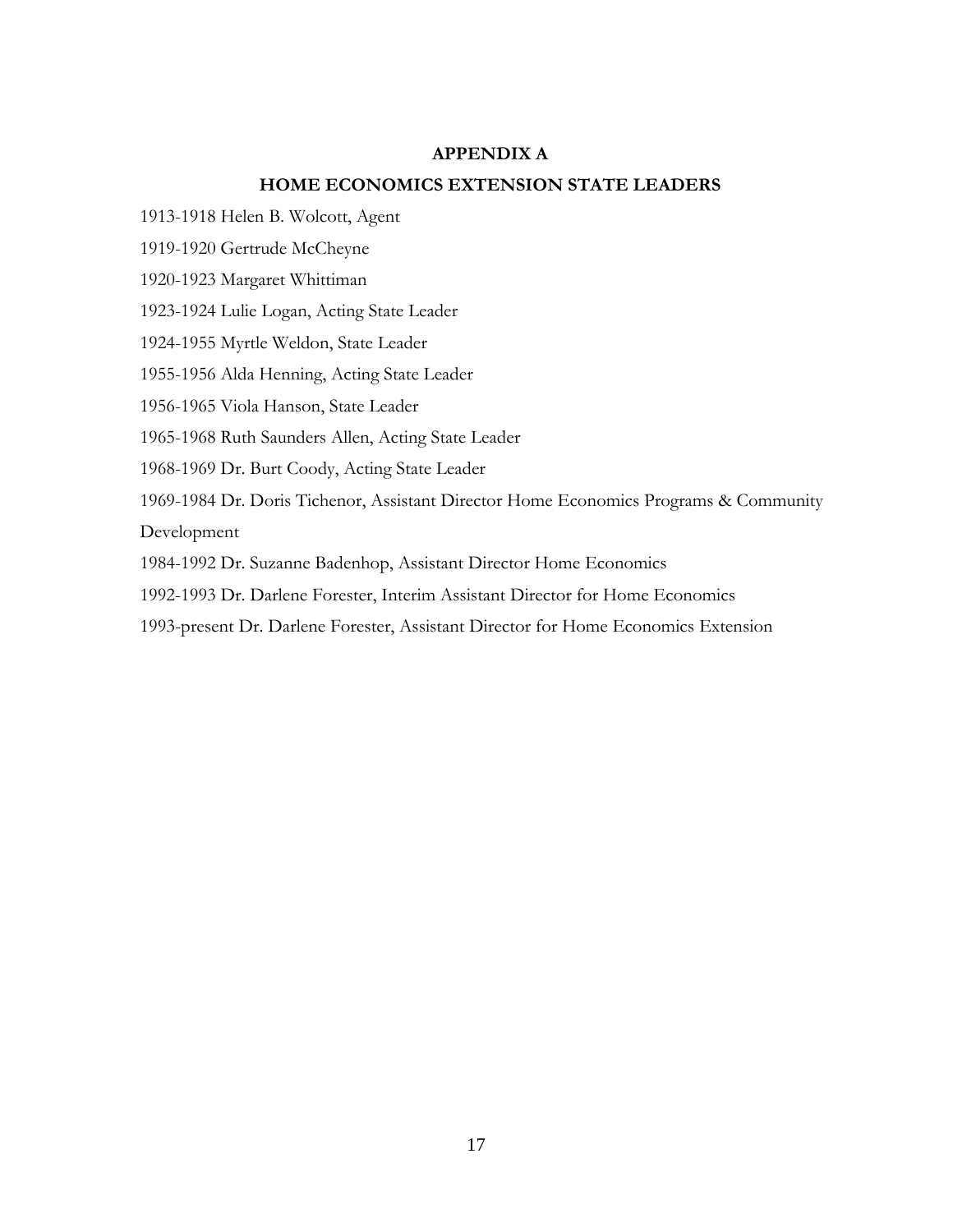# **APPENDIX A**

# **HOME ECONOMICS EXTENSION STATE LEADERS**

1913-1918 Helen B. Wolcott, Agent

1919-1920 Gertrude McCheyne

1920-1923 Margaret Whittiman

1923-1924 Lulie Logan, Acting State Leader

1924-1955 Myrtle Weldon, State Leader

1955-1956 Alda Henning, Acting State Leader

1956-1965 Viola Hanson, State Leader

1965-1968 Ruth Saunders Allen, Acting State Leader

1968-1969 Dr. Burt Coody, Acting State Leader

1969-1984 Dr. Doris Tichenor, Assistant Director Home Economics Programs & Community Development

1984-1992 Dr. Suzanne Badenhop, Assistant Director Home Economics

1992-1993 Dr. Darlene Forester, Interim Assistant Director for Home Economics

1993-present Dr. Darlene Forester, Assistant Director for Home Economics Extension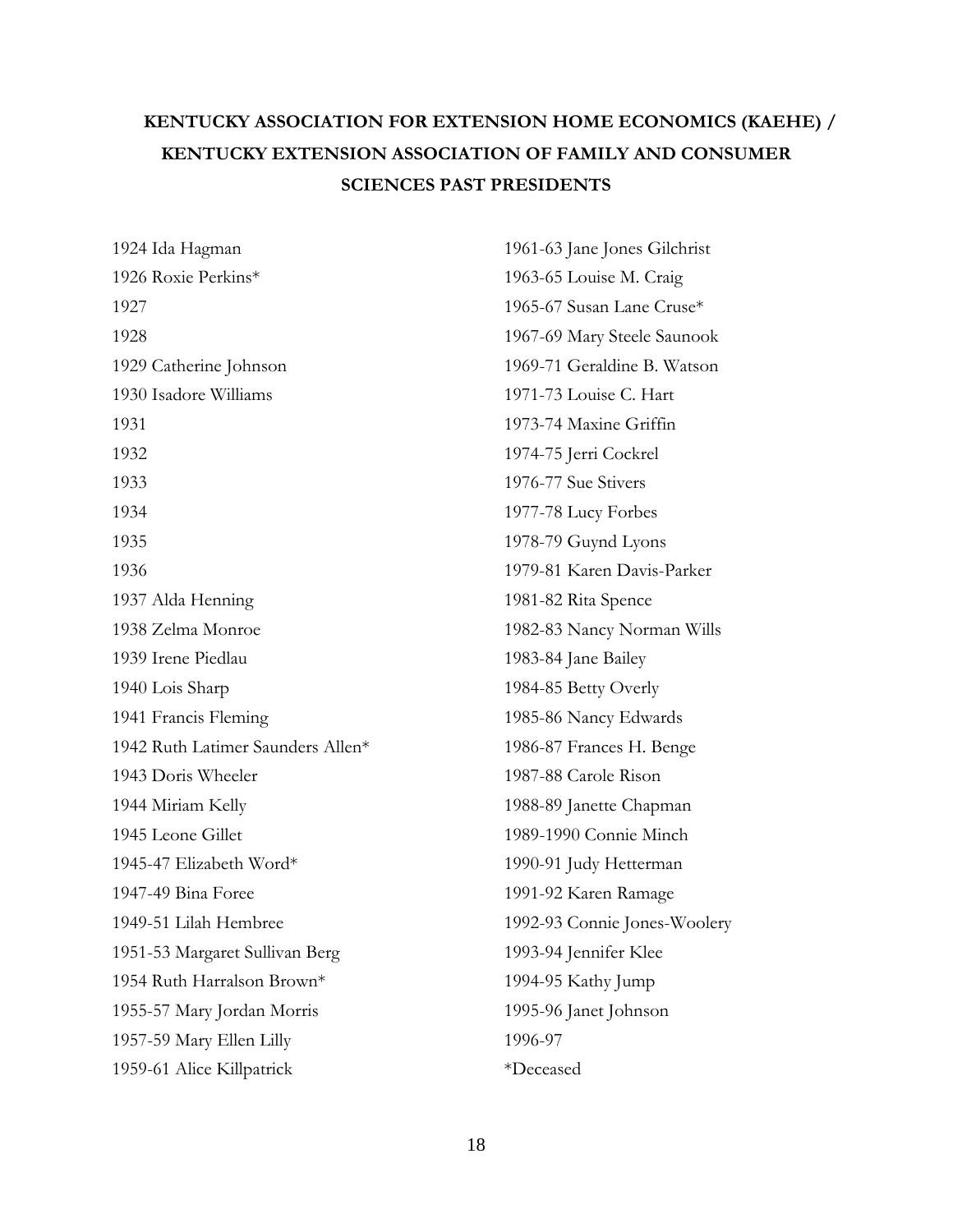# **KENTUCKY ASSOCIATION FOR EXTENSION HOME ECONOMICS (KAEHE) / KENTUCKY EXTENSION ASSOCIATION OF FAMILY AND CONSUMER SCIENCES PAST PRESIDENTS**

| 1924 Ida Hagman                   | 1961-63 Jane Jones Gilchrist |
|-----------------------------------|------------------------------|
| 1926 Roxie Perkins*               | 1963-65 Louise M. Craig      |
| 1927                              | 1965-67 Susan Lane Cruse*    |
| 1928                              | 1967-69 Mary Steele Saunook  |
| 1929 Catherine Johnson            | 1969-71 Geraldine B. Watson  |
| 1930 Isadore Williams             | 1971-73 Louise C. Hart       |
| 1931                              | 1973-74 Maxine Griffin       |
| 1932                              | 1974-75 Jerri Cockrel        |
| 1933                              | 1976-77 Sue Stivers          |
| 1934                              | 1977-78 Lucy Forbes          |
| 1935                              | 1978-79 Guynd Lyons          |
| 1936                              | 1979-81 Karen Davis-Parker   |
| 1937 Alda Henning                 | 1981-82 Rita Spence          |
| 1938 Zelma Monroe                 | 1982-83 Nancy Norman Wills   |
| 1939 Irene Piedlau                | 1983-84 Jane Bailey          |
| 1940 Lois Sharp                   | 1984-85 Betty Overly         |
| 1941 Francis Fleming              | 1985-86 Nancy Edwards        |
| 1942 Ruth Latimer Saunders Allen* | 1986-87 Frances H. Benge     |
| 1943 Doris Wheeler                | 1987-88 Carole Rison         |
| 1944 Miriam Kelly                 | 1988-89 Janette Chapman      |
| 1945 Leone Gillet                 | 1989-1990 Connie Minch       |
| 1945-47 Elizabeth Word*           | 1990-91 Judy Hetterman       |
| 1947-49 Bina Foree                | 1991-92 Karen Ramage         |
| 1949-51 Lilah Hembree             | 1992-93 Connie Jones-Woolery |
| 1951-53 Margaret Sullivan Berg    | 1993-94 Jennifer Klee        |
| 1954 Ruth Harralson Brown*        | 1994-95 Kathy Jump           |
| 1955-57 Mary Jordan Morris        | 1995-96 Janet Johnson        |
| 1957-59 Mary Ellen Lilly          | 1996-97                      |
| 1959-61 Alice Killpatrick         | *Deceased                    |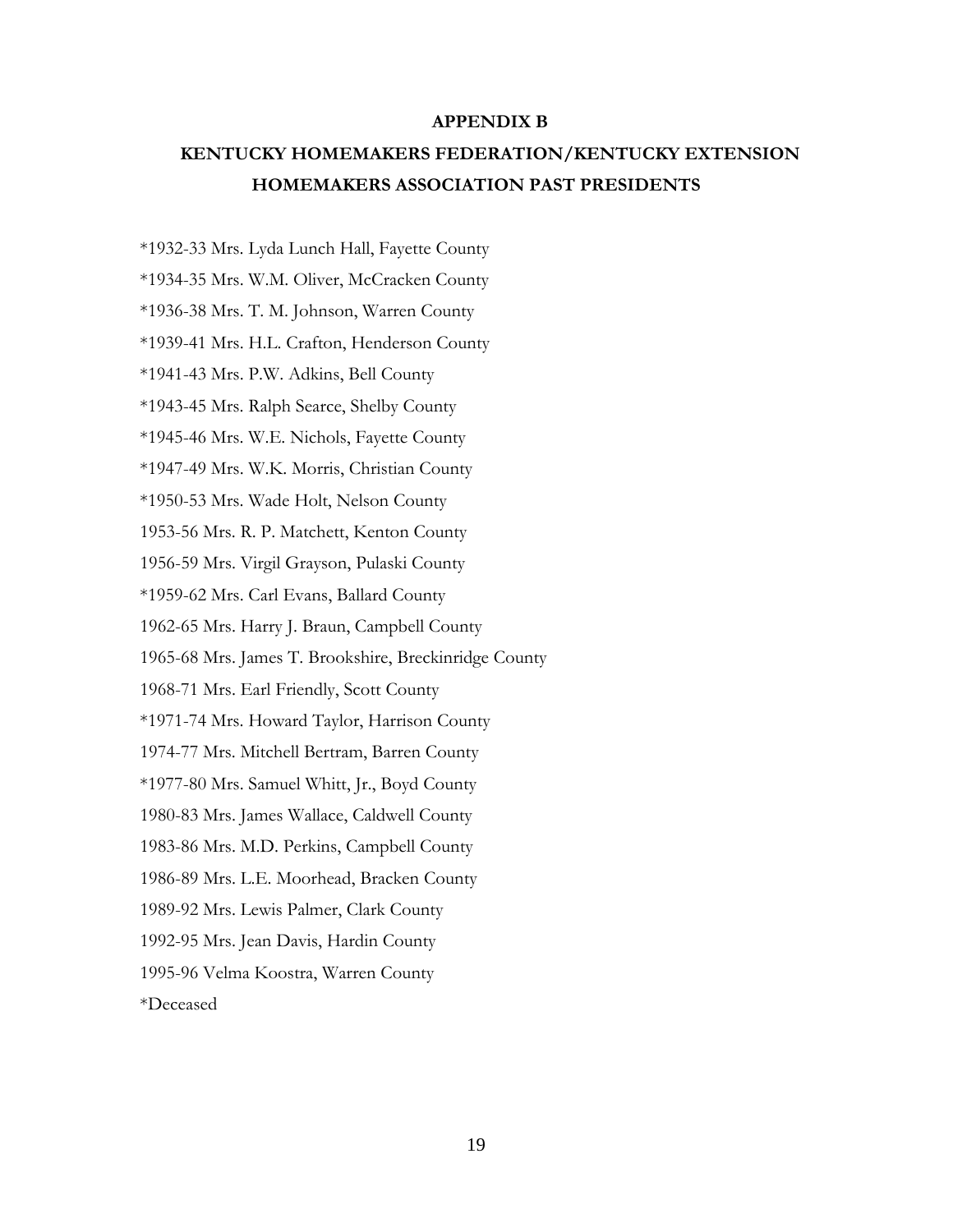#### **APPENDIX B**

# **KENTUCKY HOMEMAKERS FEDERATION/KENTUCKY EXTENSION HOMEMAKERS ASSOCIATION PAST PRESIDENTS**

\*1932-33 Mrs. Lyda Lunch Hall, Fayette County \*1934-35 Mrs. W.M. Oliver, McCracken County \*1936-38 Mrs. T. M. Johnson, Warren County \*1939-41 Mrs. H.L. Crafton, Henderson County \*1941-43 Mrs. P.W. Adkins, Bell County \*1943-45 Mrs. Ralph Searce, Shelby County \*1945-46 Mrs. W.E. Nichols, Fayette County \*1947-49 Mrs. W.K. Morris, Christian County \*1950-53 Mrs. Wade Holt, Nelson County 1953-56 Mrs. R. P. Matchett, Kenton County 1956-59 Mrs. Virgil Grayson, Pulaski County \*1959-62 Mrs. Carl Evans, Ballard County 1962-65 Mrs. Harry J. Braun, Campbell County 1965-68 Mrs. James T. Brookshire, Breckinridge County 1968-71 Mrs. Earl Friendly, Scott County \*1971-74 Mrs. Howard Taylor, Harrison County 1974-77 Mrs. Mitchell Bertram, Barren County \*1977-80 Mrs. Samuel Whitt, Jr., Boyd County 1980-83 Mrs. James Wallace, Caldwell County 1983-86 Mrs. M.D. Perkins, Campbell County 1986-89 Mrs. L.E. Moorhead, Bracken County 1989-92 Mrs. Lewis Palmer, Clark County 1992-95 Mrs. Jean Davis, Hardin County 1995-96 Velma Koostra, Warren County \*Deceased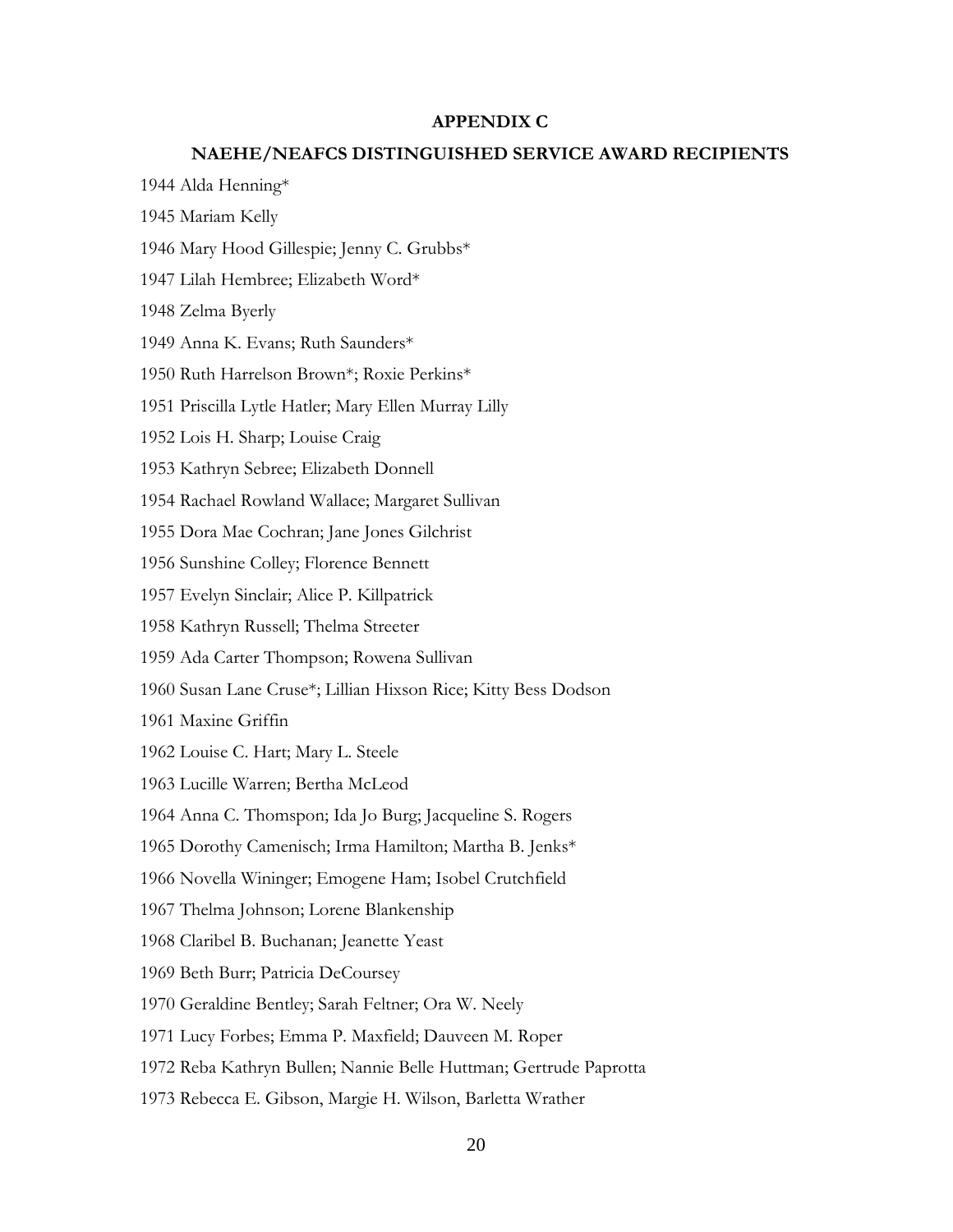## **APPENDIX C**

#### **NAEHE/NEAFCS DISTINGUISHED SERVICE AWARD RECIPIENTS**

- 1944 Alda Henning\*
- 1945 Mariam Kelly
- 1946 Mary Hood Gillespie; Jenny C. Grubbs\*
- 1947 Lilah Hembree; Elizabeth Word\*

1948 Zelma Byerly

- 1949 Anna K. Evans; Ruth Saunders\*
- 1950 Ruth Harrelson Brown\*; Roxie Perkins\*
- 1951 Priscilla Lytle Hatler; Mary Ellen Murray Lilly

1952 Lois H. Sharp; Louise Craig

- 1953 Kathryn Sebree; Elizabeth Donnell
- 1954 Rachael Rowland Wallace; Margaret Sullivan
- 1955 Dora Mae Cochran; Jane Jones Gilchrist
- 1956 Sunshine Colley; Florence Bennett
- 1957 Evelyn Sinclair; Alice P. Killpatrick
- 1958 Kathryn Russell; Thelma Streeter
- 1959 Ada Carter Thompson; Rowena Sullivan
- 1960 Susan Lane Cruse\*; Lillian Hixson Rice; Kitty Bess Dodson

1961 Maxine Griffin

- 1962 Louise C. Hart; Mary L. Steele
- 1963 Lucille Warren; Bertha McLeod
- 1964 Anna C. Thomspon; Ida Jo Burg; Jacqueline S. Rogers
- 1965 Dorothy Camenisch; Irma Hamilton; Martha B. Jenks\*
- 1966 Novella Wininger; Emogene Ham; Isobel Crutchfield
- 1967 Thelma Johnson; Lorene Blankenship
- 1968 Claribel B. Buchanan; Jeanette Yeast
- 1969 Beth Burr; Patricia DeCoursey
- 1970 Geraldine Bentley; Sarah Feltner; Ora W. Neely
- 1971 Lucy Forbes; Emma P. Maxfield; Dauveen M. Roper
- 1972 Reba Kathryn Bullen; Nannie Belle Huttman; Gertrude Paprotta
- 1973 Rebecca E. Gibson, Margie H. Wilson, Barletta Wrather